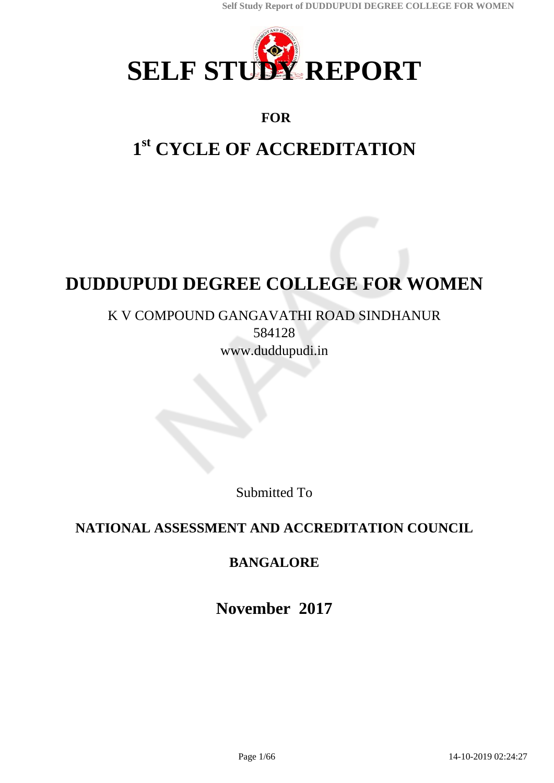

# **FOR**

# **1 st CYCLE OF ACCREDITATION**

# **DUDDUPUDI DEGREE COLLEGE FOR WOMEN**

# K V COMPOUND GANGAVATHI ROAD SINDHANUR 584128 www.duddupudi.in

Submitted To

# **NATIONAL ASSESSMENT AND ACCREDITATION COUNCIL**

# **BANGALORE**

**November 2017**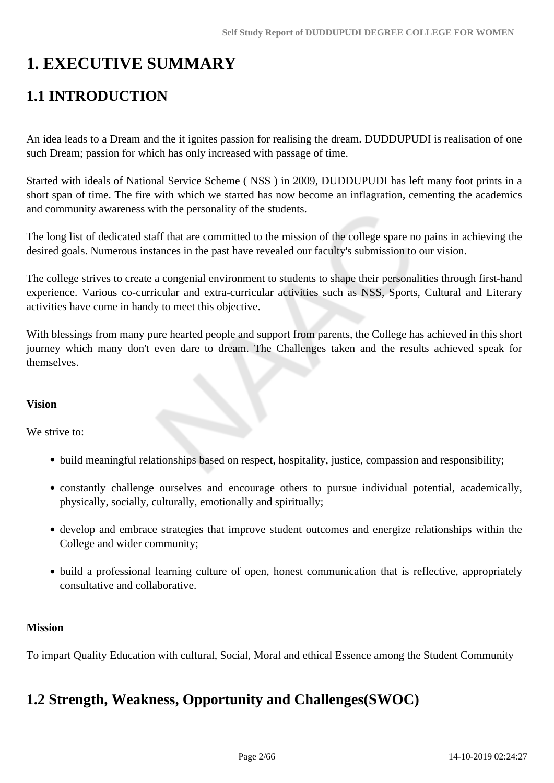# **1. EXECUTIVE SUMMARY**

# **1.1 INTRODUCTION**

An idea leads to a Dream and the it ignites passion for realising the dream. DUDDUPUDI is realisation of one such Dream; passion for which has only increased with passage of time.

Started with ideals of National Service Scheme ( NSS ) in 2009, DUDDUPUDI has left many foot prints in a short span of time. The fire with which we started has now become an inflagration, cementing the academics and community awareness with the personality of the students.

The long list of dedicated staff that are committed to the mission of the college spare no pains in achieving the desired goals. Numerous instances in the past have revealed our faculty's submission to our vision.

The college strives to create a congenial environment to students to shape their personalities through first-hand experience. Various co-curricular and extra-curricular activities such as NSS, Sports, Cultural and Literary activities have come in handy to meet this objective.

With blessings from many pure hearted people and support from parents, the College has achieved in this short journey which many don't even dare to dream. The Challenges taken and the results achieved speak for themselves.

#### **Vision**

We strive to:

- build meaningful relationships based on respect, hospitality, justice, compassion and responsibility;
- constantly challenge ourselves and encourage others to pursue individual potential, academically, physically, socially, culturally, emotionally and spiritually;
- develop and embrace strategies that improve student outcomes and energize relationships within the College and wider community;
- build a professional learning culture of open, honest communication that is reflective, appropriately consultative and collaborative.

#### **Mission**

To impart Quality Education with cultural, Social, Moral and ethical Essence among the Student Community

# **1.2 Strength, Weakness, Opportunity and Challenges(SWOC)**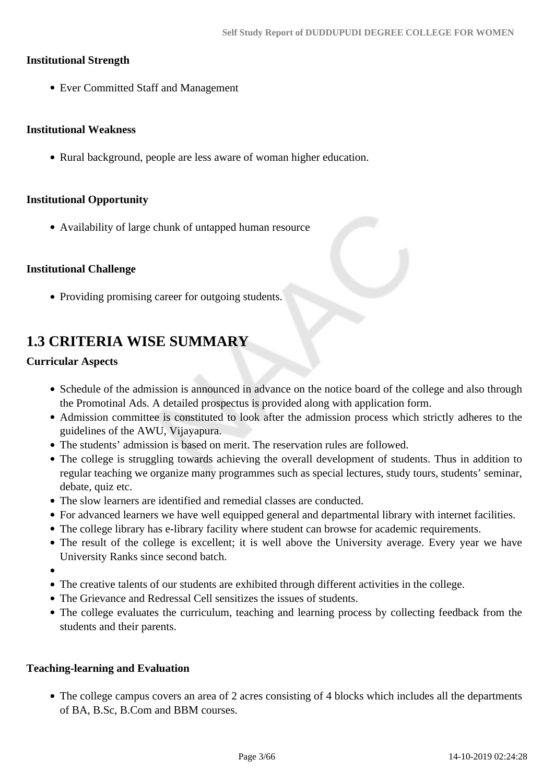#### **Institutional Strength**

Ever Committed Staff and Management

#### **Institutional Weakness**

• Rural background, people are less aware of woman higher education.

#### **Institutional Opportunity**

Availability of large chunk of untapped human resource

#### **Institutional Challenge**

• Providing promising career for outgoing students.

# **1.3 CRITERIA WISE SUMMARY**

#### **Curricular Aspects**

- Schedule of the admission is announced in advance on the notice board of the college and also through the Promotinal Ads. A detailed prospectus is provided along with application form.
- Admission committee is constituted to look after the admission process which strictly adheres to the guidelines of the AWU, Vijayapura.
- The students' admission is based on merit. The reservation rules are followed.
- The college is struggling towards achieving the overall development of students. Thus in addition to regular teaching we organize many programmes such as special lectures, study tours, students' seminar, debate, quiz etc.
- The slow learners are identified and remedial classes are conducted.
- For advanced learners we have well equipped general and departmental library with internet facilities.
- The college library has e-library facility where student can browse for academic requirements.
- The result of the college is excellent; it is well above the University average. Every year we have University Ranks since second batch.
- 
- The creative talents of our students are exhibited through different activities in the college.
- The Grievance and Redressal Cell sensitizes the issues of students.
- The college evaluates the curriculum, teaching and learning process by collecting feedback from the students and their parents.

#### **Teaching-learning and Evaluation**

The college campus covers an area of 2 acres consisting of 4 blocks which includes all the departments of BA, B.Sc, B.Com and BBM courses.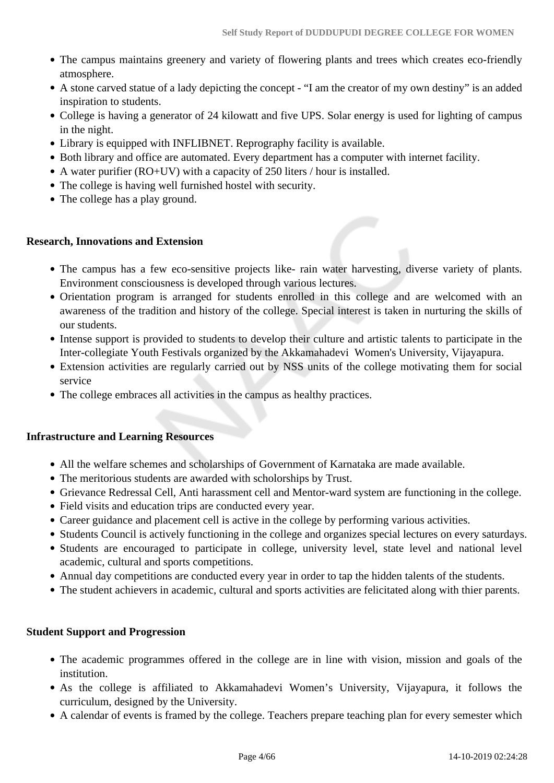- The campus maintains greenery and variety of flowering plants and trees which creates eco-friendly atmosphere.
- A stone carved statue of a lady depicting the concept "I am the creator of my own destiny" is an added inspiration to students.
- College is having a generator of 24 kilowatt and five UPS. Solar energy is used for lighting of campus in the night.
- Library is equipped with INFLIBNET. Reprography facility is available.
- Both library and office are automated. Every department has a computer with internet facility.
- A water purifier (RO+UV) with a capacity of 250 liters / hour is installed.
- The college is having well furnished hostel with security.
- The college has a play ground.

#### **Research, Innovations and Extension**

- The campus has a few eco-sensitive projects like- rain water harvesting, diverse variety of plants. Environment consciousness is developed through various lectures.
- Orientation program is arranged for students enrolled in this college and are welcomed with an awareness of the tradition and history of the college. Special interest is taken in nurturing the skills of our students.
- Intense support is provided to students to develop their culture and artistic talents to participate in the Inter-collegiate Youth Festivals organized by the Akkamahadevi Women's University, Vijayapura.
- Extension activities are regularly carried out by NSS units of the college motivating them for social service
- The college embraces all activities in the campus as healthy practices.

#### **Infrastructure and Learning Resources**

- All the welfare schemes and scholarships of Government of Karnataka are made available.
- The meritorious students are awarded with scholorships by Trust.
- Grievance Redressal Cell, Anti harassment cell and Mentor-ward system are functioning in the college.
- Field visits and education trips are conducted every year.
- Career guidance and placement cell is active in the college by performing various activities.
- Students Council is actively functioning in the college and organizes special lectures on every saturdays.
- Students are encouraged to participate in college, university level, state level and national level academic, cultural and sports competitions.
- Annual day competitions are conducted every year in order to tap the hidden talents of the students.
- The student achievers in academic, cultural and sports activities are felicitated along with thier parents.

#### **Student Support and Progression**

- The academic programmes offered in the college are in line with vision, mission and goals of the institution.
- As the college is affiliated to Akkamahadevi Women's University, Vijayapura, it follows the curriculum, designed by the University.
- A calendar of events is framed by the college. Teachers prepare teaching plan for every semester which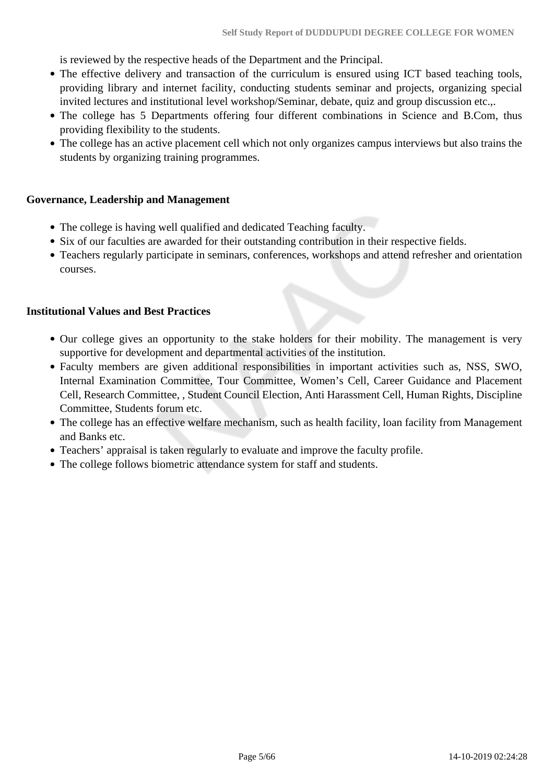is reviewed by the respective heads of the Department and the Principal.

- The effective delivery and transaction of the curriculum is ensured using ICT based teaching tools, providing library and internet facility, conducting students seminar and projects, organizing special invited lectures and institutional level workshop/Seminar, debate, quiz and group discussion etc.,.
- The college has 5 Departments offering four different combinations in Science and B.Com, thus providing flexibility to the students.
- The college has an active placement cell which not only organizes campus interviews but also trains the students by organizing training programmes.

#### **Governance, Leadership and Management**

- The college is having well qualified and dedicated Teaching faculty.
- Six of our faculties are awarded for their outstanding contribution in their respective fields.
- Teachers regularly participate in seminars, conferences, workshops and attend refresher and orientation courses.

#### **Institutional Values and Best Practices**

- Our college gives an opportunity to the stake holders for their mobility. The management is very supportive for development and departmental activities of the institution.
- Faculty members are given additional responsibilities in important activities such as, NSS, SWO, Internal Examination Committee, Tour Committee, Women's Cell, Career Guidance and Placement Cell, Research Committee, , Student Council Election, Anti Harassment Cell, Human Rights, Discipline Committee, Students forum etc.
- The college has an effective welfare mechanism, such as health facility, loan facility from Management and Banks etc.
- Teachers' appraisal is taken regularly to evaluate and improve the faculty profile.
- The college follows biometric attendance system for staff and students.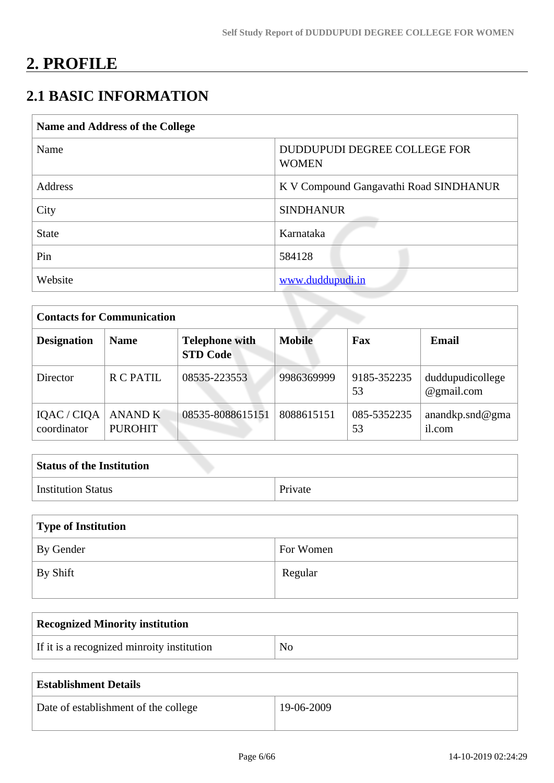# **2. PROFILE**

# **2.1 BASIC INFORMATION**

| <b>Name and Address of the College</b> |                                              |
|----------------------------------------|----------------------------------------------|
| Name                                   | DUDDUPUDI DEGREE COLLEGE FOR<br><b>WOMEN</b> |
| Address                                | K V Compound Gangavathi Road SINDHANUR       |
| City                                   | <b>SINDHANUR</b>                             |
| <b>State</b>                           | Karnataka                                    |
| Pin                                    | 584128                                       |
| Website                                | www.duddupudi.in                             |

| <b>Contacts for Communication</b> |                                                         |                  |               |                   |                                |  |  |  |
|-----------------------------------|---------------------------------------------------------|------------------|---------------|-------------------|--------------------------------|--|--|--|
| <b>Designation</b>                | <b>Telephone with</b><br><b>Name</b><br><b>STD Code</b> |                  | <b>Mobile</b> | Fax               | <b>Email</b>                   |  |  |  |
| Director                          | R C PATIL                                               | 08535-223553     | 9986369999    | 9185-352235<br>53 | duddupudicollege<br>@gmail.com |  |  |  |
| IQAC / CIQA<br>coordinator        | <b>ANAND K</b><br><b>PUROHIT</b>                        | 08535-8088615151 | 8088615151    | 085-5352235<br>53 | anandkp.snd@gma<br>il.com      |  |  |  |

| <b>Status of the Institution</b> |         |
|----------------------------------|---------|
| <b>Institution Status</b>        | Private |

| Type of Institution |           |  |  |  |  |  |
|---------------------|-----------|--|--|--|--|--|
| By Gender           | For Women |  |  |  |  |  |
| By Shift            | Regular   |  |  |  |  |  |

| <b>Recognized Minority institution</b>     |                |
|--------------------------------------------|----------------|
| If it is a recognized minroity institution | N <sub>0</sub> |

| <b>Establishment Details</b>         |            |
|--------------------------------------|------------|
| Date of establishment of the college | 19-06-2009 |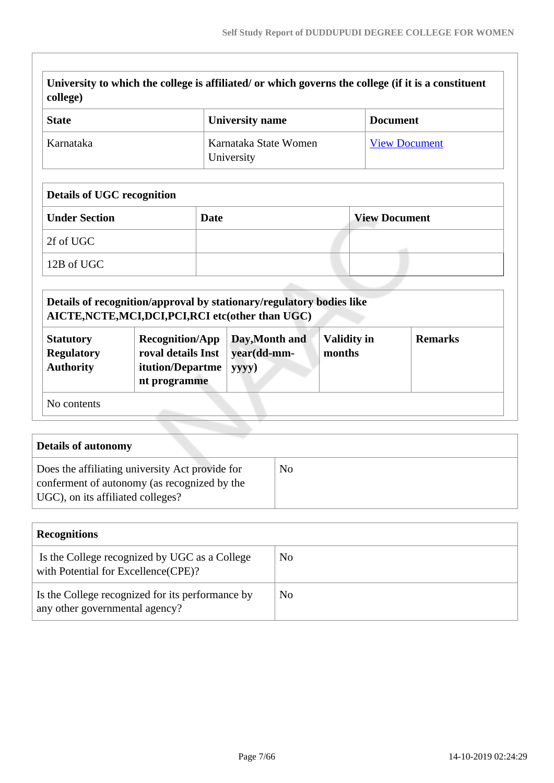| <b>State</b>                                              |                                                                                                                                                          |             | <b>University name</b>                                                                        |                              | <b>Document</b>      |                      |
|-----------------------------------------------------------|----------------------------------------------------------------------------------------------------------------------------------------------------------|-------------|-----------------------------------------------------------------------------------------------|------------------------------|----------------------|----------------------|
| Karnataka                                                 |                                                                                                                                                          |             | Karnataka State Women<br>University                                                           |                              |                      | <b>View Document</b> |
| <b>Details of UGC recognition</b>                         |                                                                                                                                                          |             |                                                                                               |                              |                      |                      |
| <b>Under Section</b>                                      |                                                                                                                                                          | <b>Date</b> |                                                                                               |                              | <b>View Document</b> |                      |
| 2f of UGC                                                 |                                                                                                                                                          |             |                                                                                               |                              |                      |                      |
| 12B of UGC                                                |                                                                                                                                                          |             |                                                                                               |                              |                      |                      |
|                                                           |                                                                                                                                                          |             |                                                                                               |                              |                      |                      |
| <b>Statutory</b><br><b>Regulatory</b><br><b>Authority</b> | Details of recognition/approval by stationary/regulatory bodies like<br><b>Recognition/App</b><br>roval details Inst<br>itution/Departme<br>nt programme |             | AICTE, NCTE, MCI, DCI, PCI, RCI etc(other than UGC)<br>Day, Month and<br>year(dd-mm-<br>yyyy) | <b>Validity in</b><br>months |                      | <b>Remarks</b>       |

| Does the affiliating university Act provide for | N <sub>0</sub> |
|-------------------------------------------------|----------------|
| conferment of autonomy (as recognized by the    |                |
| UGC), on its affiliated colleges?               |                |
|                                                 |                |

| <b>Recognitions</b>                                                                  |    |  |  |  |  |  |
|--------------------------------------------------------------------------------------|----|--|--|--|--|--|
| Is the College recognized by UGC as a College<br>with Potential for Excellence(CPE)? | No |  |  |  |  |  |
| Is the College recognized for its performance by<br>any other governmental agency?   | No |  |  |  |  |  |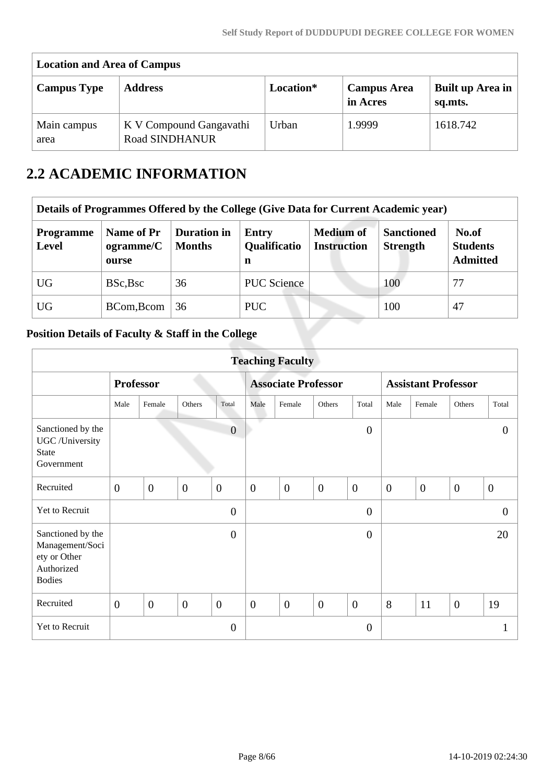| <b>Location and Area of Campus</b> |                                                  |           |                                |                             |  |  |  |  |  |
|------------------------------------|--------------------------------------------------|-----------|--------------------------------|-----------------------------|--|--|--|--|--|
| <b>Campus Type</b>                 | <b>Address</b>                                   | Location* | <b>Campus Area</b><br>in Acres | Built up Area in<br>sq.mts. |  |  |  |  |  |
| Main campus<br>area                | K V Compound Gangavathi<br><b>Road SINDHANUR</b> | Urban     | 1.9999                         | 1618.742                    |  |  |  |  |  |

# **2.2 ACADEMIC INFORMATION**

| Details of Programmes Offered by the College (Give Data for Current Academic year) |                                  |                                     |                                   |                                        |                                      |                                             |  |  |  |
|------------------------------------------------------------------------------------|----------------------------------|-------------------------------------|-----------------------------------|----------------------------------------|--------------------------------------|---------------------------------------------|--|--|--|
| <b>Programme</b><br><b>Level</b>                                                   | Name of Pr<br>ogramme/C<br>ourse | <b>Duration in</b><br><b>Months</b> | <b>Entry</b><br>Qualificatio<br>n | <b>Medium of</b><br><b>Instruction</b> | <b>Sanctioned</b><br><b>Strength</b> | No.of<br><b>Students</b><br><b>Admitted</b> |  |  |  |
| <b>UG</b>                                                                          | BSc, Bsc                         | 36                                  | <b>PUC</b> Science                |                                        | 100                                  | 77                                          |  |  |  |
| <b>UG</b>                                                                          | BCom, Bcom                       | 36                                  | PUC.                              |                                        | 100                                  | 47                                          |  |  |  |

# **Position Details of Faculty & Staff in the College**

| <b>Teaching Faculty</b>                                                             |                  |                |                  |                            |                |                  |                            |                |                  |                |                |                  |
|-------------------------------------------------------------------------------------|------------------|----------------|------------------|----------------------------|----------------|------------------|----------------------------|----------------|------------------|----------------|----------------|------------------|
|                                                                                     | <b>Professor</b> |                |                  | <b>Associate Professor</b> |                |                  | <b>Assistant Professor</b> |                |                  |                |                |                  |
|                                                                                     | Male             | Female         | Others           | Total                      | Male           | Female           | Others                     | Total          | Male             | Female         | Others         | Total            |
| Sanctioned by the<br>UGC /University<br><b>State</b><br>Government                  |                  |                |                  | $\overline{0}$             | n.             |                  |                            | $\overline{0}$ |                  |                |                | $\Omega$         |
| Recruited                                                                           | $\overline{0}$   | $\mathbf{0}$   | $\boldsymbol{0}$ | $\mathbf{0}$               | $\mathbf{0}$   | $\boldsymbol{0}$ | $\overline{0}$             | $\mathbf{0}$   | $\boldsymbol{0}$ | $\overline{0}$ | $\overline{0}$ | $\boldsymbol{0}$ |
| Yet to Recruit                                                                      |                  |                |                  | $\overline{0}$             |                |                  |                            | $\overline{0}$ |                  |                |                | $\theta$         |
| Sanctioned by the<br>Management/Soci<br>ety or Other<br>Authorized<br><b>Bodies</b> |                  |                |                  | $\overline{0}$             |                |                  |                            | $\overline{0}$ |                  |                |                | 20               |
| Recruited                                                                           | $\overline{0}$   | $\overline{0}$ | $\theta$         | $\overline{0}$             | $\overline{0}$ | $\overline{0}$   | $\overline{0}$             | $\overline{0}$ | 8                | 11             | $\overline{0}$ | 19               |
| Yet to Recruit                                                                      |                  |                |                  | $\theta$                   |                |                  |                            | $\theta$       |                  |                |                |                  |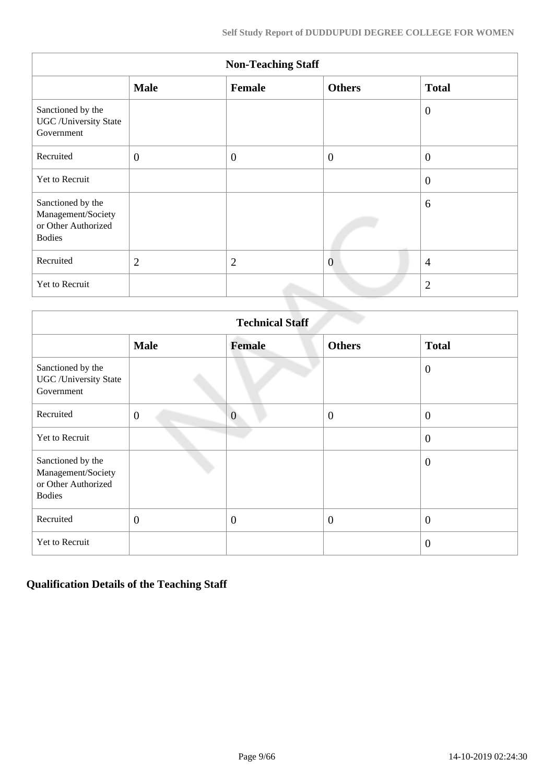| <b>Non-Teaching Staff</b>                                                       |                |                |                |                |  |  |  |
|---------------------------------------------------------------------------------|----------------|----------------|----------------|----------------|--|--|--|
|                                                                                 | <b>Male</b>    | Female         | <b>Others</b>  | <b>Total</b>   |  |  |  |
| Sanctioned by the<br><b>UGC</b> / University State<br>Government                |                |                |                | $\theta$       |  |  |  |
| Recruited                                                                       | $\mathbf{0}$   | $\overline{0}$ | $\overline{0}$ | $\overline{0}$ |  |  |  |
| Yet to Recruit                                                                  |                |                |                | $\overline{0}$ |  |  |  |
| Sanctioned by the<br>Management/Society<br>or Other Authorized<br><b>Bodies</b> |                |                |                | 6              |  |  |  |
| Recruited                                                                       | $\overline{2}$ | $\overline{2}$ | $\overline{0}$ | $\overline{4}$ |  |  |  |
| Yet to Recruit                                                                  |                |                |                | $\overline{2}$ |  |  |  |

| <b>Technical Staff</b>                                                          |                |                |                |                  |  |  |
|---------------------------------------------------------------------------------|----------------|----------------|----------------|------------------|--|--|
|                                                                                 | <b>Male</b>    | <b>Female</b>  | <b>Others</b>  | <b>Total</b>     |  |  |
| Sanctioned by the<br><b>UGC</b> / University State<br>Government                |                |                |                | $\overline{0}$   |  |  |
| Recruited                                                                       | $\theta$       | $\overline{0}$ | $\overline{0}$ | $\boldsymbol{0}$ |  |  |
| Yet to Recruit                                                                  |                |                |                | $\overline{0}$   |  |  |
| Sanctioned by the<br>Management/Society<br>or Other Authorized<br><b>Bodies</b> |                |                |                | $\overline{0}$   |  |  |
| Recruited                                                                       | $\overline{0}$ | $\overline{0}$ | $\overline{0}$ | $\overline{0}$   |  |  |
| Yet to Recruit                                                                  |                |                |                | $\overline{0}$   |  |  |

# **Qualification Details of the Teaching Staff**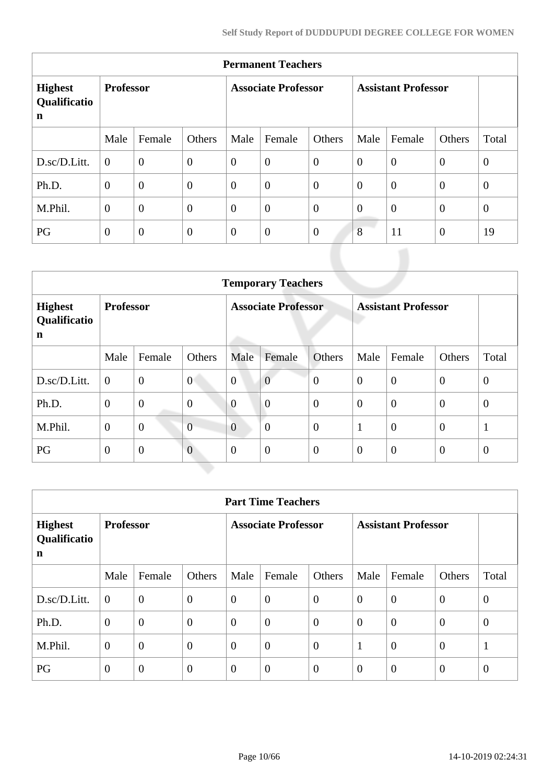| <b>Permanent Teachers</b>                     |                  |                |                            |                |                            |                |                |                |                |              |
|-----------------------------------------------|------------------|----------------|----------------------------|----------------|----------------------------|----------------|----------------|----------------|----------------|--------------|
| <b>Highest</b><br>Qualificatio<br>$\mathbf n$ | <b>Professor</b> |                | <b>Associate Professor</b> |                | <b>Assistant Professor</b> |                |                |                |                |              |
|                                               | Male             | Female         | Others                     | Male           | Female                     | Others         | Male           | Female         | Others         | Total        |
| D.sc/D.Litt.                                  | $\overline{0}$   | $\overline{0}$ | $\boldsymbol{0}$           | $\overline{0}$ | $\boldsymbol{0}$           | $\overline{0}$ | $\overline{0}$ | $\overline{0}$ | $\overline{0}$ | $\mathbf{0}$ |
| Ph.D.                                         | $\theta$         | $\overline{0}$ | $\boldsymbol{0}$           | $\overline{0}$ | $\boldsymbol{0}$           | $\overline{0}$ | $\theta$       | $\overline{0}$ | $\overline{0}$ | $\mathbf{0}$ |
| M.Phil.                                       | $\mathbf{0}$     | $\overline{0}$ | $\boldsymbol{0}$           | $\theta$       | $\boldsymbol{0}$           | $\overline{0}$ | $\overline{0}$ | $\overline{0}$ | $\overline{0}$ | $\mathbf{0}$ |
| PG                                            | $\mathbf{0}$     | $\overline{0}$ | $\mathbf{0}$               | $\theta$       | $\boldsymbol{0}$           | $\overline{0}$ | 8              | 11             | $\overline{0}$ | 19           |
|                                               |                  |                |                            |                |                            |                |                |                |                |              |

|                                                         | <b>Temporary Teachers</b> |                |                            |                |                            |                |                |                |                |                |
|---------------------------------------------------------|---------------------------|----------------|----------------------------|----------------|----------------------------|----------------|----------------|----------------|----------------|----------------|
| <b>Professor</b><br><b>Highest</b><br>Qualificatio<br>n |                           |                | <b>Associate Professor</b> |                | <b>Assistant Professor</b> |                |                |                |                |                |
|                                                         | Male                      | Female         | Others                     | Male           | Female                     | Others         | Male           | Female         | Others         | Total          |
| D.sc/D.Litt.                                            | $\boldsymbol{0}$          | $\mathbf{0}$   | $\overline{0}$             | $\overline{0}$ | $\overline{0}$             | $\overline{0}$ | $\overline{0}$ | $\overline{0}$ | $\theta$       | $\theta$       |
| Ph.D.                                                   | $\overline{0}$            | $\overline{0}$ | $\overline{0}$             | $\overline{0}$ | $\overline{0}$             | $\overline{0}$ | $\theta$       | $\overline{0}$ | $\theta$       | $\overline{0}$ |
| M.Phil.                                                 | $\theta$                  | $\overline{0}$ | $\overline{0}$             | $\overline{0}$ | $\overline{0}$             | $\overline{0}$ |                | $\overline{0}$ | $\overline{0}$ |                |
| PG                                                      | $\overline{0}$            | $\overline{0}$ | $\overline{0}$             | $\Omega$       | $\overline{0}$             | $\overline{0}$ | $\theta$       | $\overline{0}$ | $\overline{0}$ | $\theta$       |

| <b>Part Time Teachers</b>           |                  |                  |                            |                |                            |                |                |                |                |              |
|-------------------------------------|------------------|------------------|----------------------------|----------------|----------------------------|----------------|----------------|----------------|----------------|--------------|
| <b>Highest</b><br>Qualificatio<br>n | <b>Professor</b> |                  | <b>Associate Professor</b> |                | <b>Assistant Professor</b> |                |                |                |                |              |
|                                     | Male             | Female           | Others                     | Male           | Female                     | Others         | Male           | Female         | Others         | Total        |
| D.sc/D.Litt.                        | $\overline{0}$   | $\overline{0}$   | $\overline{0}$             | $\theta$       | $\overline{0}$             | $\overline{0}$ | $\theta$       | $\overline{0}$ | $\overline{0}$ | $\theta$     |
| Ph.D.                               | $\overline{0}$   | $\overline{0}$   | $\overline{0}$             | $\theta$       | $\overline{0}$             | $\overline{0}$ | $\theta$       | $\overline{0}$ | $\overline{0}$ | $\theta$     |
| M.Phil.                             | $\theta$         | $\overline{0}$   | $\overline{0}$             | $\overline{0}$ | $\overline{0}$             | $\overline{0}$ | 1              | $\overline{0}$ | $\overline{0}$ | $\mathbf{1}$ |
| PG                                  | $\theta$         | $\boldsymbol{0}$ | $\theta$                   | $\overline{0}$ | $\boldsymbol{0}$           | $\overline{0}$ | $\overline{0}$ | $\overline{0}$ | $\theta$       | $\theta$     |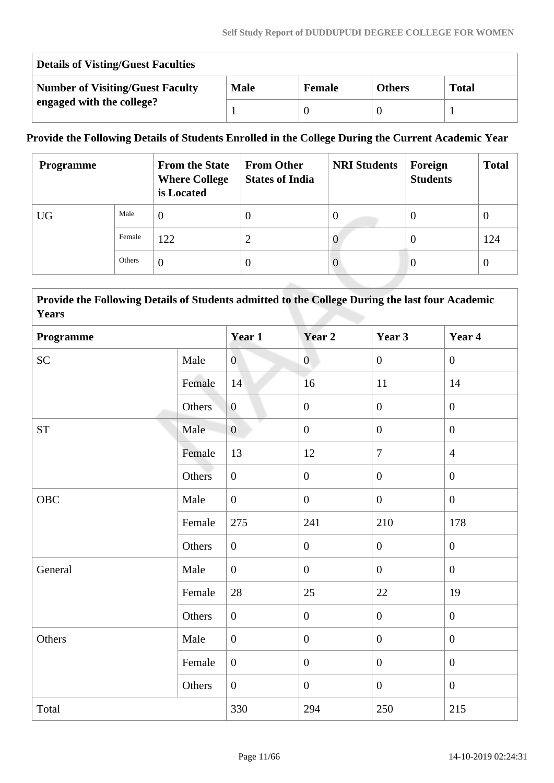| <b>Details of Visting/Guest Faculties</b> |             |               |               |              |  |  |
|-------------------------------------------|-------------|---------------|---------------|--------------|--|--|
| <b>Number of Visiting/Guest Faculty</b>   | <b>Male</b> | <b>Female</b> | <b>Others</b> | <b>Total</b> |  |  |
| engaged with the college?                 |             |               |               |              |  |  |

# **Provide the Following Details of Students Enrolled in the College During the Current Academic Year**

| <b>Programme</b> |        | <b>From the State</b><br><b>Where College</b><br>is Located | <b>From Other</b><br><b>States of India</b> | <b>NRI Students</b> | Foreign<br><b>Students</b> | <b>Total</b> |
|------------------|--------|-------------------------------------------------------------|---------------------------------------------|---------------------|----------------------------|--------------|
| <b>UG</b>        | Male   | $\overline{0}$                                              | $\Omega$                                    | O                   |                            | $\theta$     |
|                  | Female | 122                                                         | ◠                                           | $\mathbf{O}$        |                            | 124          |
|                  | Others | $\overline{0}$                                              | $\theta$                                    | O                   | O                          | 0            |

 **Provide the Following Details of Students admitted to the College During the last four Academic Years**

| Programme          |        | Year 1           | Year 2           | Year 3           | Year 4           |
|--------------------|--------|------------------|------------------|------------------|------------------|
| SC                 | Male   | $\overline{0}$   | $\mathbf{0}$     | $\overline{0}$   | $\overline{0}$   |
|                    | Female | 14               | 16               | $11\,$           | 14               |
|                    | Others | $\boldsymbol{0}$ | $\boldsymbol{0}$ | $\boldsymbol{0}$ | $\boldsymbol{0}$ |
| ${\cal S}{\cal T}$ | Male   | $\overline{0}$   | $\overline{0}$   | $\boldsymbol{0}$ | $\overline{0}$   |
|                    | Female | 13               | 12               | $\overline{7}$   | $\overline{4}$   |
|                    | Others | $\mathbf{0}$     | $\boldsymbol{0}$ | $\boldsymbol{0}$ | $\overline{0}$   |
| OBC                | Male   | $\overline{0}$   | $\boldsymbol{0}$ | $\overline{0}$   | $\overline{0}$   |
|                    | Female | 275              | 241              | 210              | 178              |
|                    | Others | $\mathbf{0}$     | $\boldsymbol{0}$ | $\boldsymbol{0}$ | $\overline{0}$   |
| General            | Male   | $\overline{0}$   | $\overline{0}$   | $\overline{0}$   | $\overline{0}$   |
|                    | Female | 28               | 25               | $22\,$           | 19               |
|                    | Others | $\boldsymbol{0}$ | $\boldsymbol{0}$ | $\boldsymbol{0}$ | $\boldsymbol{0}$ |
| Others             | Male   | $\overline{0}$   | $\boldsymbol{0}$ | $\overline{0}$   | $\overline{0}$   |
|                    | Female | $\overline{0}$   | $\boldsymbol{0}$ | $\overline{0}$   | $\overline{0}$   |
|                    | Others | $\overline{0}$   | $\overline{0}$   | $\boldsymbol{0}$ | $\boldsymbol{0}$ |
| Total              |        | 330              | 294              | 250              | 215              |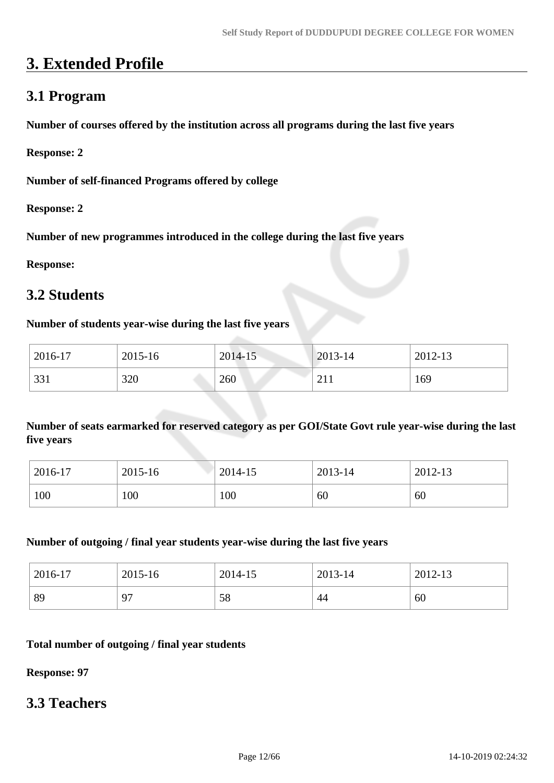# **3. Extended Profile**

# **3.1 Program**

**Number of courses offered by the institution across all programs during the last five years**

**Response: 2**

**Number of self-financed Programs offered by college**

**Response: 2**

**Number of new programmes introduced in the college during the last five years**

**Response:** 

# **3.2 Students**

#### **Number of students year-wise during the last five years**

| 2016-17 | 2015-16 | 2014-15 | 2013-14 | 2012-13 |
|---------|---------|---------|---------|---------|
| 331     | 320     | 260     | 211     | 169     |

**Number of seats earmarked for reserved category as per GOI/State Govt rule year-wise during the last five years**

| 2016-17 | 2015-16 | 2014-15 | 2013-14 | 2012-13 |
|---------|---------|---------|---------|---------|
| 100     | 100     | 100     | 60      | 60      |

#### **Number of outgoing / final year students year-wise during the last five years**

| $12016 - 17$ | 2015-16  | 2014-15 | 2013-14 | 2012-13 |
|--------------|----------|---------|---------|---------|
| 89           | $\Omega$ | 58      | 44      | 60      |

#### **Total number of outgoing / final year students**

**Response: 97**

# **3.3 Teachers**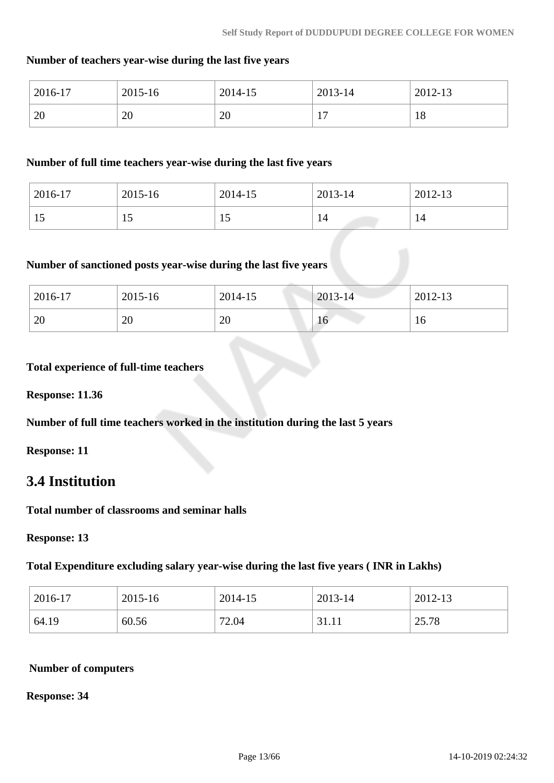### **Number of teachers year-wise during the last five years**

| 2016-17 | 2015-16  | 2014-15                      | 2013-14                                | 2012-13 |
|---------|----------|------------------------------|----------------------------------------|---------|
| 20      | oc<br>∠∪ | $\overline{C}$<br>$\angle U$ | 1 <sub>n</sub><br>$\ddot{\phantom{1}}$ | 18      |

#### **Number of full time teachers year-wise during the last five years**

| 2016-17 | 2015-16 | 2014-15        | 2013-14 | 2012-13 |
|---------|---------|----------------|---------|---------|
| 19      |         | $\overline{1}$ | 14      | 14      |

#### **Number of sanctioned posts year-wise during the last five years**

| 2016-17 | 2015-16  | 2014-15 | $2013 - 14$ | 2012-13 |
|---------|----------|---------|-------------|---------|
| 20      | ററ<br>ZU | 20      | 16          | 10      |

#### **Total experience of full-time teachers**

**Response: 11.36**

**Number of full time teachers worked in the institution during the last 5 years**

**Response: 11**

# **3.4 Institution**

**Total number of classrooms and seminar halls**

**Response: 13**

**Total Expenditure excluding salary year-wise during the last five years ( INR in Lakhs)**

| 2016-17 | 2015-16 | 2014-15 | 2013-14 | 2012-13 |
|---------|---------|---------|---------|---------|
| 64.19   | 60.56   | 72.04   | 31.11   | 25.78   |

#### **Number of computers**

**Response: 34**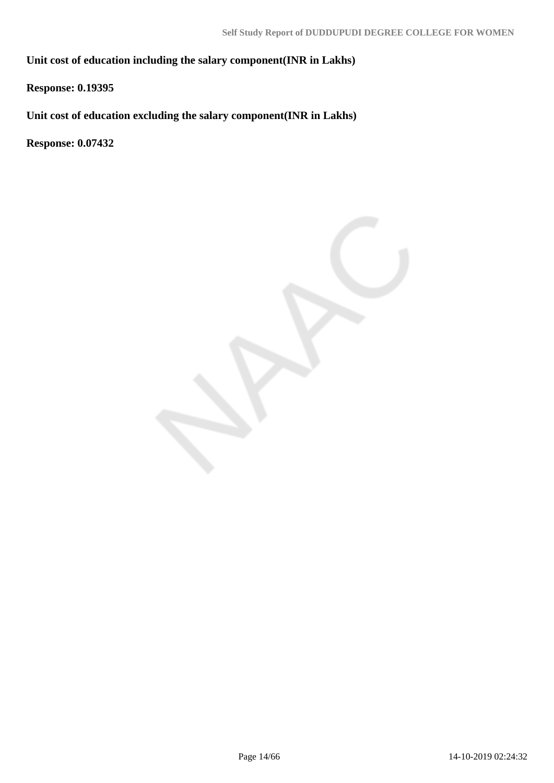**Unit cost of education including the salary component(INR in Lakhs)**

**Response: 0.19395**

**Unit cost of education excluding the salary component(INR in Lakhs)**

**Response: 0.07432**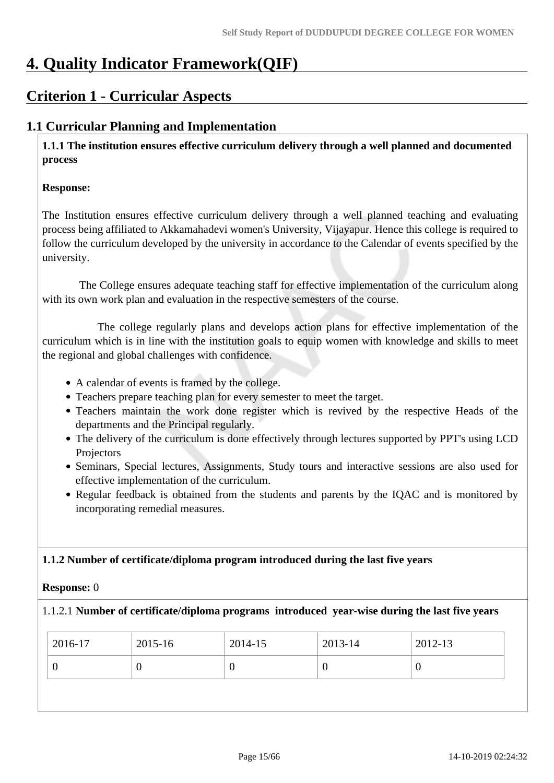# **4. Quality Indicator Framework(QIF)**

# **Criterion 1 - Curricular Aspects**

# **1.1 Curricular Planning and Implementation**

 **1.1.1 The institution ensures effective curriculum delivery through a well planned and documented process** 

#### **Response:**

The Institution ensures effective curriculum delivery through a well planned teaching and evaluating process being affiliated to Akkamahadevi women's University, Vijayapur. Hence this college is required to follow the curriculum developed by the university in accordance to the Calendar of events specified by the university.

 The College ensures adequate teaching staff for effective implementation of the curriculum along with its own work plan and evaluation in the respective semesters of the course.

 The college regularly plans and develops action plans for effective implementation of the curriculum which is in line with the institution goals to equip women with knowledge and skills to meet the regional and global challenges with confidence.

- A calendar of events is framed by the college.
- Teachers prepare teaching plan for every semester to meet the target.
- Teachers maintain the work done register which is revived by the respective Heads of the departments and the Principal regularly.
- The delivery of the curriculum is done effectively through lectures supported by PPT's using LCD Projectors
- Seminars, Special lectures, Assignments, Study tours and interactive sessions are also used for effective implementation of the curriculum.
- Regular feedback is obtained from the students and parents by the IOAC and is monitored by incorporating remedial measures.

#### **1.1.2 Number of certificate/diploma program introduced during the last five years**

#### **Response:** 0

#### 1.1.2.1 **Number of certificate/diploma programs introduced year-wise during the last five years**

| 2016-17 | 2015-16 | 2014-15 | 2013-14 | 2012-13 |
|---------|---------|---------|---------|---------|
| U       |         |         | U       |         |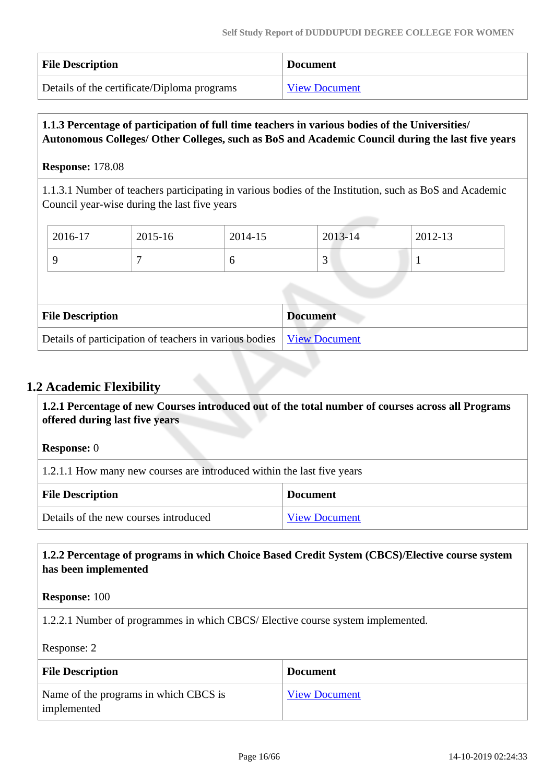| <b>File Description</b>                     | <b>Document</b>      |
|---------------------------------------------|----------------------|
| Details of the certificate/Diploma programs | <b>View Document</b> |

### **1.1.3 Percentage of participation of full time teachers in various bodies of the Universities/ Autonomous Colleges/ Other Colleges, such as BoS and Academic Council during the last five years**

## **Response:** 178.08

1.1.3.1 Number of teachers participating in various bodies of the Institution, such as BoS and Academic Council year-wise during the last five years

| 2016-17 | 2015-16 | 2014-15 | 2013-14     | 2012-13 |
|---------|---------|---------|-------------|---------|
|         |         |         | $\sim$<br>ັ |         |

| <b>File Description</b>                                                | <b>Document</b> |
|------------------------------------------------------------------------|-----------------|
| Details of participation of teachers in various bodies   View Document |                 |

# **1.2 Academic Flexibility**

 **1.2.1 Percentage of new Courses introduced out of the total number of courses across all Programs offered during last five years**

**Response:** 0

1.2.1.1 How many new courses are introduced within the last five years

| <b>File Description</b>               | <b>Document</b> |
|---------------------------------------|-----------------|
| Details of the new courses introduced | View Document   |

## **1.2.2 Percentage of programs in which Choice Based Credit System (CBCS)/Elective course system has been implemented**

**Response:** 100

1.2.2.1 Number of programmes in which CBCS/ Elective course system implemented.

Response: 2

| <b>File Description</b>                              | <b>Document</b>      |
|------------------------------------------------------|----------------------|
| Name of the programs in which CBCS is<br>implemented | <b>View Document</b> |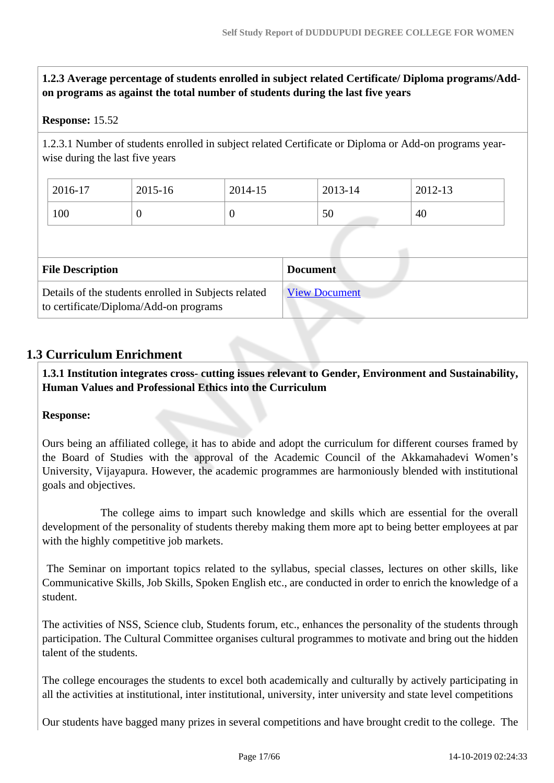**1.2.3 Average percentage of students enrolled in subject related Certificate/ Diploma programs/Addon programs as against the total number of students during the last five years**

#### **Response:** 15.52

1.2.3.1 Number of students enrolled in subject related Certificate or Diploma or Add-on programs yearwise during the last five years

| 2016-17 | 2015-16 | 2014-15 | 2013-14 | 2012-13 |
|---------|---------|---------|---------|---------|
| 100     | v       | ν       | 50      | 40      |

| <b>File Description</b>                                                                        | <b>Document</b>      |
|------------------------------------------------------------------------------------------------|----------------------|
| Details of the students enrolled in Subjects related<br>to certificate/Diploma/Add-on programs | <b>View Document</b> |

# **1.3 Curriculum Enrichment**

 **1.3.1 Institution integrates cross- cutting issues relevant to Gender, Environment and Sustainability, Human Values and Professional Ethics into the Curriculum**

#### **Response:**

Ours being an affiliated college, it has to abide and adopt the curriculum for different courses framed by the Board of Studies with the approval of the Academic Council of the Akkamahadevi Women's University, Vijayapura. However, the academic programmes are harmoniously blended with institutional goals and objectives.

 The college aims to impart such knowledge and skills which are essential for the overall development of the personality of students thereby making them more apt to being better employees at par with the highly competitive job markets.

 The Seminar on important topics related to the syllabus, special classes, lectures on other skills, like Communicative Skills, Job Skills, Spoken English etc., are conducted in order to enrich the knowledge of a student.

The activities of NSS, Science club, Students forum, etc., enhances the personality of the students through participation. The Cultural Committee organises cultural programmes to motivate and bring out the hidden talent of the students.

The college encourages the students to excel both academically and culturally by actively participating in all the activities at institutional, inter institutional, university, inter university and state level competitions

Our students have bagged many prizes in several competitions and have brought credit to the college. The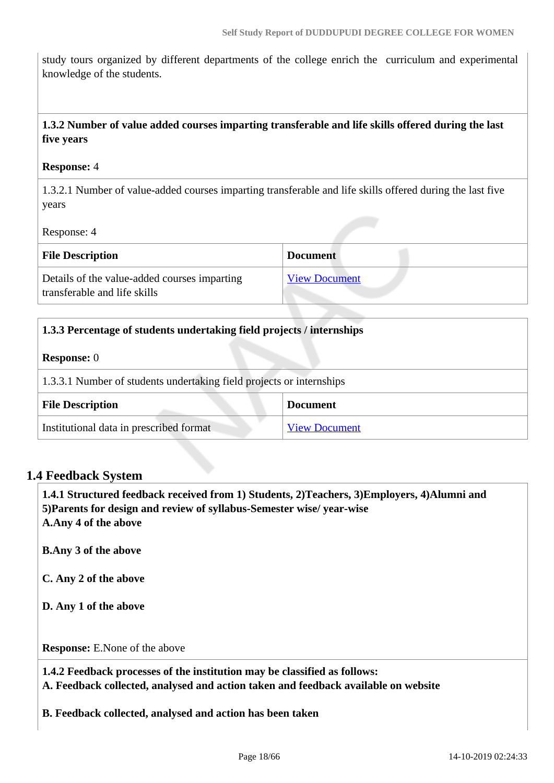study tours organized by different departments of the college enrich the curriculum and experimental knowledge of the students.

## **1.3.2 Number of value added courses imparting transferable and life skills offered during the last five years**

#### **Response:** 4

1.3.2.1 Number of value-added courses imparting transferable and life skills offered during the last five years

Response: 4

| <b>File Description</b>                                                      | <b>Document</b>      |
|------------------------------------------------------------------------------|----------------------|
| Details of the value-added courses imparting<br>transferable and life skills | <b>View Document</b> |

| 1.3.3 Percentage of students undertaking field projects / internships |  |
|-----------------------------------------------------------------------|--|
| <b>Response:</b> 0                                                    |  |
| 1.3.3.1 Number of students undertaking field projects or internships  |  |
| <b>File Description</b><br><b>Document</b>                            |  |
| Institutional data in prescribed format<br><b>View Document</b>       |  |

#### **1.4 Feedback System**

 **1.4.1 Structured feedback received from 1) Students, 2)Teachers, 3)Employers, 4)Alumni and 5)Parents for design and review of syllabus-Semester wise/ year-wise A.Any 4 of the above**

**B.Any 3 of the above**

**C. Any 2 of the above**

**D. Any 1 of the above**

**Response:** E.None of the above

 **1.4.2 Feedback processes of the institution may be classified as follows: A. Feedback collected, analysed and action taken and feedback available on website**

**B. Feedback collected, analysed and action has been taken**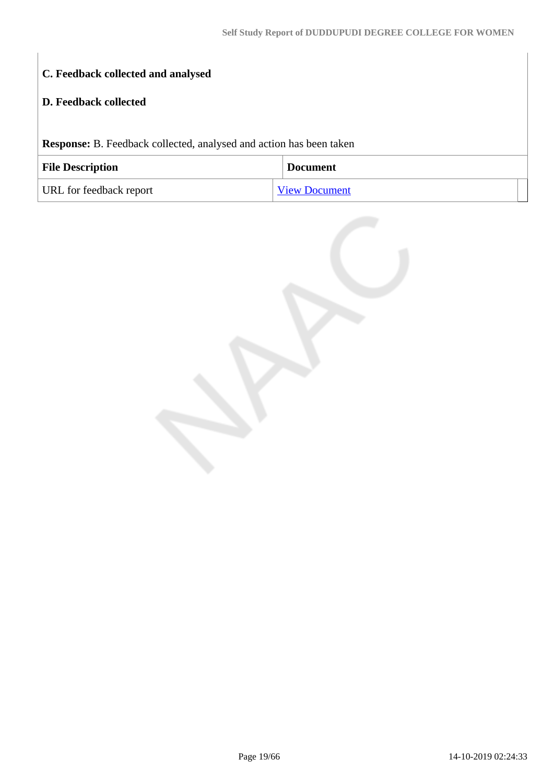# **C. Feedback collected and analysed**

## **D. Feedback collected**

**Response:** B. Feedback collected, analysed and action has been taken

| <b>File Description</b> | <b>Document</b>      |
|-------------------------|----------------------|
| URL for feedback report | <b>View Document</b> |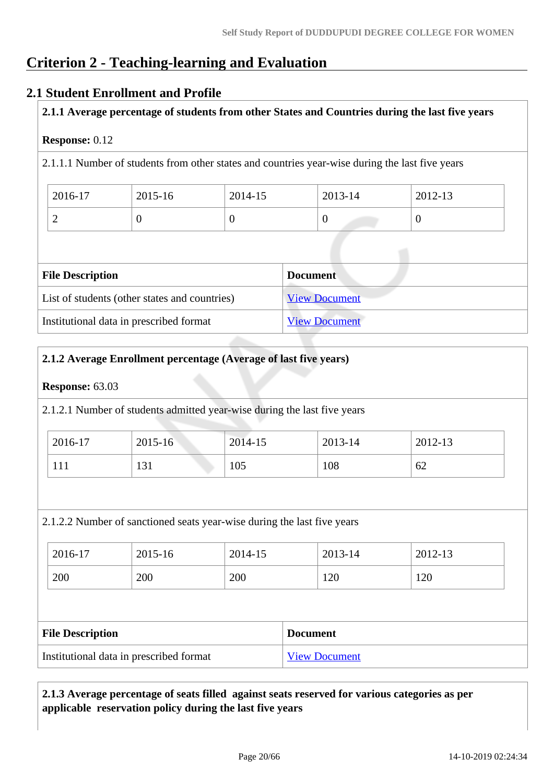# **Criterion 2 - Teaching-learning and Evaluation**

# **2.1 Student Enrollment and Profile**

**2.1.1 Average percentage of students from other States and Countries during the last five years**

#### **Response:** 0.12

2.1.1.1 Number of students from other states and countries year-wise during the last five years

| 2016-17 | 2015-16 | 2014-15 | 2013-14 | 2012-13 |
|---------|---------|---------|---------|---------|
| ∸       | ν       |         |         |         |

| <b>File Description</b>                       | <b>Document</b>      |
|-----------------------------------------------|----------------------|
| List of students (other states and countries) | <b>View Document</b> |
| Institutional data in prescribed format       | <b>View Document</b> |

## **2.1.2 Average Enrollment percentage (Average of last five years)**

#### **Response:** 63.03

2.1.2.1 Number of students admitted year-wise during the last five years

| 2016-17 | 2015-16 | $2014 - 15$ | 2013-14 | 2012-13 |
|---------|---------|-------------|---------|---------|
| 111     | 131     | 105         | 108     | 62      |

2.1.2.2 Number of sanctioned seats year-wise during the last five years

| 2016-17 | 2015-16 | 2014-15 | 2013-14 | 2012-13 |
|---------|---------|---------|---------|---------|
| 200     | 200     | 200     | 120     | 120     |

| <b>File Description</b>                 | <b>Document</b>      |
|-----------------------------------------|----------------------|
| Institutional data in prescribed format | <b>View Document</b> |

# **2.1.3 Average percentage of seats filled against seats reserved for various categories as per applicable reservation policy during the last five years**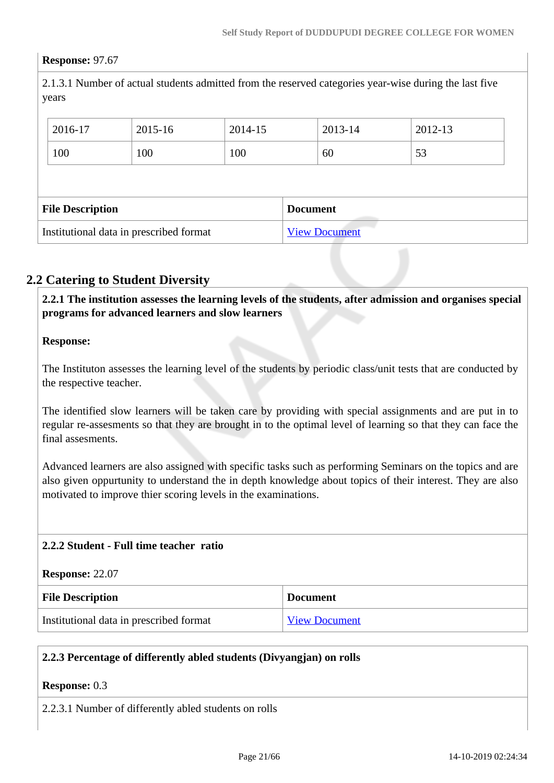#### **Response:** 97.67

2.1.3.1 Number of actual students admitted from the reserved categories year-wise during the last five years

|                         | 2016-17 | 2015-16 | 2014-15 |                 | 2013-14 | 2012-13 |
|-------------------------|---------|---------|---------|-----------------|---------|---------|
|                         | 100     | 100     | 100     |                 | 60      | 53      |
|                         |         |         |         |                 |         |         |
| <b>File Description</b> |         |         |         |                 |         |         |
|                         |         |         |         | <b>Document</b> |         |         |

# **2.2 Catering to Student Diversity**

 **2.2.1 The institution assesses the learning levels of the students, after admission and organises special programs for advanced learners and slow learners**

#### **Response:**

The Instituton assesses the learning level of the students by periodic class/unit tests that are conducted by the respective teacher.

The identified slow learners will be taken care by providing with special assignments and are put in to regular re-assesments so that they are brought in to the optimal level of learning so that they can face the final assesments.

Advanced learners are also assigned with specific tasks such as performing Seminars on the topics and are also given oppurtunity to understand the in depth knowledge about topics of their interest. They are also motivated to improve thier scoring levels in the examinations.

#### **2.2.2 Student - Full time teacher ratio**

#### **Response:** 22.07

| <b>File Description</b>                 | <b>Document</b>      |
|-----------------------------------------|----------------------|
| Institutional data in prescribed format | <b>View Document</b> |

#### **2.2.3 Percentage of differently abled students (Divyangjan) on rolls**

#### **Response:** 0.3

2.2.3.1 Number of differently abled students on rolls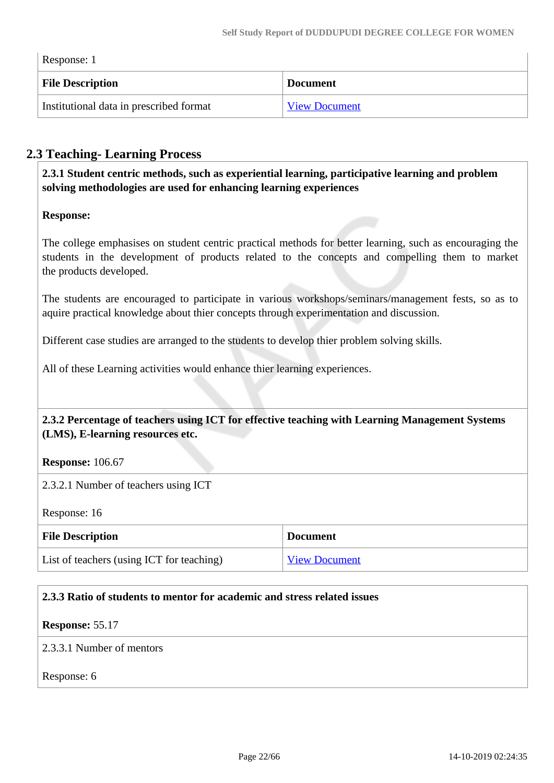$\overline{1}$ 

| Response: 1 |                                         |                      |
|-------------|-----------------------------------------|----------------------|
|             | <b>File Description</b>                 | <b>Document</b>      |
|             | Institutional data in prescribed format | <b>View Document</b> |

# **2.3 Teaching- Learning Process**

 **2.3.1 Student centric methods, such as experiential learning, participative learning and problem solving methodologies are used for enhancing learning experiences**

#### **Response:**

The college emphasises on student centric practical methods for better learning, such as encouraging the students in the development of products related to the concepts and compelling them to market the products developed.

The students are encouraged to participate in various workshops/seminars/management fests, so as to aquire practical knowledge about thier concepts through experimentation and discussion.

Different case studies are arranged to the students to develop thier problem solving skills.

All of these Learning activities would enhance thier learning experiences.

 **2.3.2 Percentage of teachers using ICT for effective teaching with Learning Management Systems (LMS), E-learning resources etc.**

**Response:** 106.67

2.3.2.1 Number of teachers using ICT

Response: 16

| <b>File Description</b>                   | Document             |
|-------------------------------------------|----------------------|
| List of teachers (using ICT for teaching) | <b>View Document</b> |

#### **2.3.3 Ratio of students to mentor for academic and stress related issues**

#### **Response:** 55.17

2.3.3.1 Number of mentors

Response: 6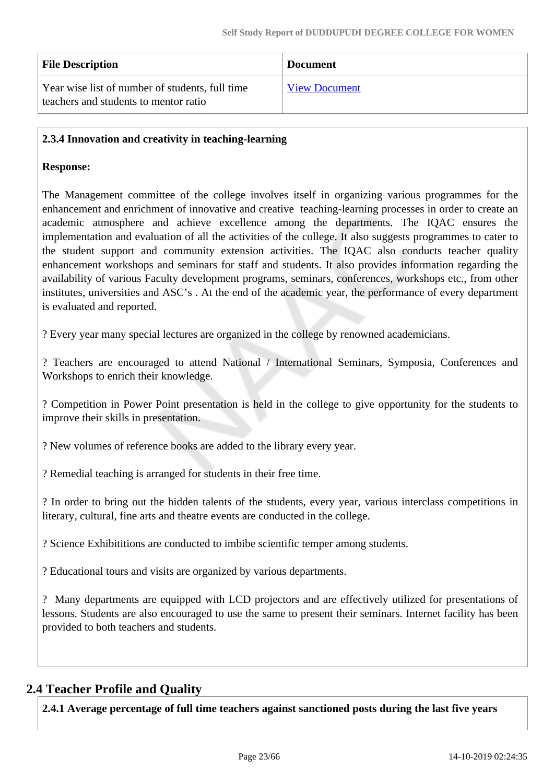| <b>File Description</b>                                                                  | <b>Document</b>      |
|------------------------------------------------------------------------------------------|----------------------|
| Year wise list of number of students, full time<br>teachers and students to mentor ratio | <b>View Document</b> |

#### **2.3.4 Innovation and creativity in teaching-learning**

#### **Response:**

The Management committee of the college involves itself in organizing various programmes for the enhancement and enrichment of innovative and creative teaching-learning processes in order to create an academic atmosphere and achieve excellence among the departments. The IQAC ensures the implementation and evaluation of all the activities of the college. It also suggests programmes to cater to the student support and community extension activities. The IQAC also conducts teacher quality enhancement workshops and seminars for staff and students. It also provides information regarding the availability of various Faculty development programs, seminars, conferences, workshops etc., from other institutes, universities and ASC's . At the end of the academic year, the performance of every department is evaluated and reported.

? Every year many special lectures are organized in the college by renowned academicians.

? Teachers are encouraged to attend National / International Seminars, Symposia, Conferences and Workshops to enrich their knowledge.

? Competition in Power Point presentation is held in the college to give opportunity for the students to improve their skills in presentation.

? New volumes of reference books are added to the library every year.

? Remedial teaching is arranged for students in their free time.

? In order to bring out the hidden talents of the students, every year, various interclass competitions in literary, cultural, fine arts and theatre events are conducted in the college.

? Science Exhibititions are conducted to imbibe scientific temper among students.

? Educational tours and visits are organized by various departments.

? Many departments are equipped with LCD projectors and are effectively utilized for presentations of lessons. Students are also encouraged to use the same to present their seminars. Internet facility has been provided to both teachers and students.

# **2.4 Teacher Profile and Quality**

**2.4.1 Average percentage of full time teachers against sanctioned posts during the last five years**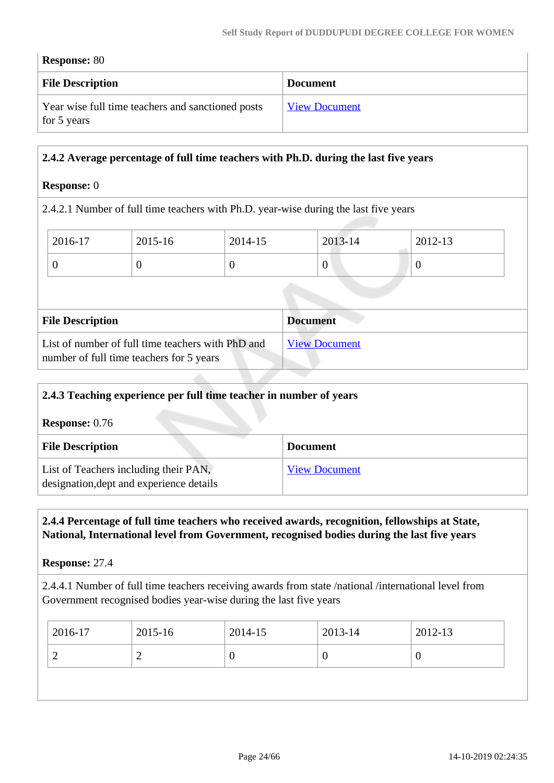| <b>Response: 80</b>                                              |                      |  |
|------------------------------------------------------------------|----------------------|--|
| <b>File Description</b>                                          | <b>Document</b>      |  |
| Year wise full time teachers and sanctioned posts<br>for 5 years | <b>View Document</b> |  |

#### **2.4.2 Average percentage of full time teachers with Ph.D. during the last five years**

#### **Response:** 0

2.4.2.1 Number of full time teachers with Ph.D. year-wise during the last five years

| 2016-17 | 2015-16 | 2014-15 | 2013-14          | $2012 - 13$ |
|---------|---------|---------|------------------|-------------|
|         |         |         | $\boldsymbol{0}$ | ν           |
|         |         |         |                  |             |

| <b>File Description</b>                                                                       | <b>Document</b>      |
|-----------------------------------------------------------------------------------------------|----------------------|
| List of number of full time teachers with PhD and<br>number of full time teachers for 5 years | <b>View Document</b> |

| 2.4.3 Teaching experience per full time teacher in number of years                |                      |
|-----------------------------------------------------------------------------------|----------------------|
| <b>Response:</b> $0.76$                                                           |                      |
| <b>File Description</b>                                                           | <b>Document</b>      |
| List of Teachers including their PAN,<br>designation, dept and experience details | <b>View Document</b> |

#### **2.4.4 Percentage of full time teachers who received awards, recognition, fellowships at State, National, International level from Government, recognised bodies during the last five years**

**Response:** 27.4

2.4.4.1 Number of full time teachers receiving awards from state /national /international level from Government recognised bodies year-wise during the last five years

| $2016-17$ | 2015-16 | 2014-15 | $2013 - 14$ | 2012-13 |
|-----------|---------|---------|-------------|---------|
| ∸<br>∸    |         |         | v           |         |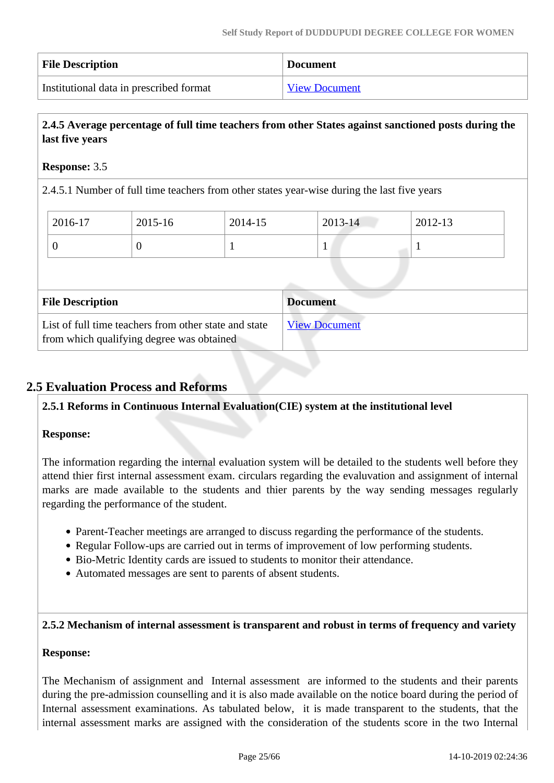| <b>File Description</b>                 | <b>Document</b>      |
|-----------------------------------------|----------------------|
| Institutional data in prescribed format | <b>View Document</b> |

# **2.4.5 Average percentage of full time teachers from other States against sanctioned posts during the last five years**

## **Response:** 3.5

2.4.5.1 Number of full time teachers from other states year-wise during the last five years

| 1<br>$\theta$                                                                 | 2016-17                 | 2015-16 | 2014-15 | 2013-14         | 2012-13 |
|-------------------------------------------------------------------------------|-------------------------|---------|---------|-----------------|---------|
|                                                                               |                         |         |         |                 |         |
|                                                                               |                         |         |         |                 |         |
|                                                                               |                         |         |         |                 |         |
| List of full time teachers from other state and state<br><b>View Document</b> | <b>File Description</b> |         |         | <b>Document</b> |         |

# **2.5 Evaluation Process and Reforms**

#### **2.5.1 Reforms in Continuous Internal Evaluation(CIE) system at the institutional level**

#### **Response:**

The information regarding the internal evaluation system will be detailed to the students well before they attend thier first internal assessment exam. circulars regarding the evaluvation and assignment of internal marks are made available to the students and thier parents by the way sending messages regularly regarding the performance of the student.

- Parent-Teacher meetings are arranged to discuss regarding the performance of the students.
- Regular Follow-ups are carried out in terms of improvement of low performing students.
- Bio-Metric Identity cards are issued to students to monitor their attendance.
- Automated messages are sent to parents of absent students.

#### **2.5.2 Mechanism of internal assessment is transparent and robust in terms of frequency and variety**

#### **Response:**

The Mechanism of assignment and Internal assessment are informed to the students and their parents during the pre-admission counselling and it is also made available on the notice board during the period of Internal assessment examinations. As tabulated below, it is made transparent to the students, that the internal assessment marks are assigned with the consideration of the students score in the two Internal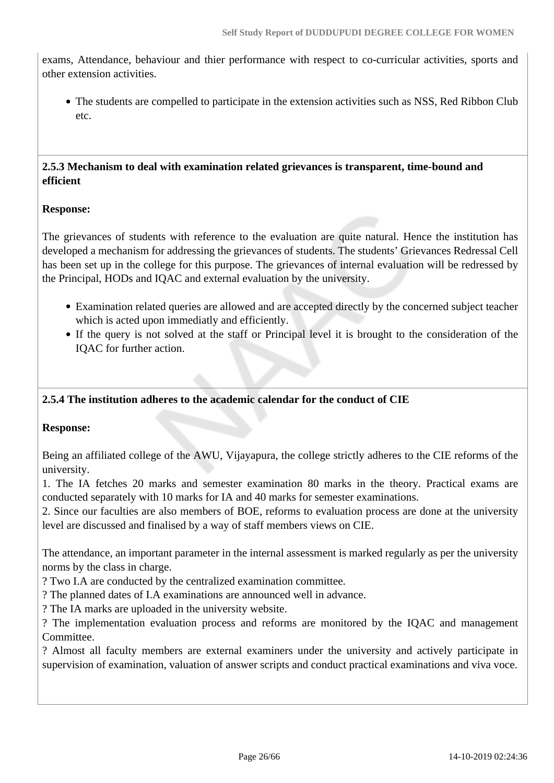exams, Attendance, behaviour and thier performance with respect to co-curricular activities, sports and other extension activities.

• The students are compelled to participate in the extension activities such as NSS, Red Ribbon Club etc.

#### **2.5.3 Mechanism to deal with examination related grievances is transparent, time-bound and efficient**

# **Response:**

The grievances of students with reference to the evaluation are quite natural. Hence the institution has developed a mechanism for addressing the grievances of students. The students' Grievances Redressal Cell has been set up in the college for this purpose. The grievances of internal evaluation will be redressed by the Principal, HODs and IQAC and external evaluation by the university.

- Examination related queries are allowed and are accepted directly by the concerned subject teacher which is acted upon immediatly and efficiently.
- If the query is not solved at the staff or Principal level it is brought to the consideration of the IQAC for further action.

#### **2.5.4 The institution adheres to the academic calendar for the conduct of CIE**

#### **Response:**

Being an affiliated college of the AWU, Vijayapura, the college strictly adheres to the CIE reforms of the university.

1. The IA fetches 20 marks and semester examination 80 marks in the theory. Practical exams are conducted separately with 10 marks for IA and 40 marks for semester examinations.

2. Since our faculties are also members of BOE, reforms to evaluation process are done at the university level are discussed and finalised by a way of staff members views on CIE.

The attendance, an important parameter in the internal assessment is marked regularly as per the university norms by the class in charge.

? Two I.A are conducted by the centralized examination committee.

? The planned dates of I.A examinations are announced well in advance.

? The IA marks are uploaded in the university website.

? The implementation evaluation process and reforms are monitored by the IQAC and management Committee.

? Almost all faculty members are external examiners under the university and actively participate in supervision of examination, valuation of answer scripts and conduct practical examinations and viva voce.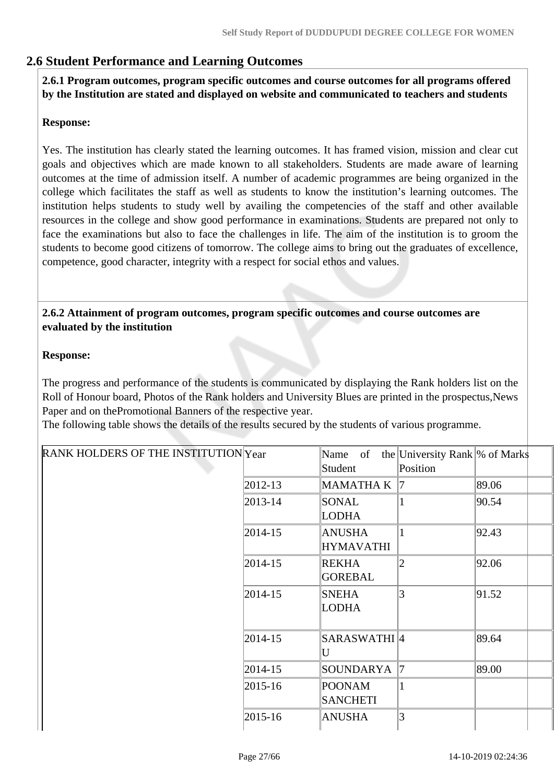# **2.6 Student Performance and Learning Outcomes**

 **2.6.1 Program outcomes, program specific outcomes and course outcomes for all programs offered by the Institution are stated and displayed on website and communicated to teachers and students**

#### **Response:**

Yes. The institution has clearly stated the learning outcomes. It has framed vision, mission and clear cut goals and objectives which are made known to all stakeholders. Students are made aware of learning outcomes at the time of admission itself. A number of academic programmes are being organized in the college which facilitates the staff as well as students to know the institution's learning outcomes. The institution helps students to study well by availing the competencies of the staff and other available resources in the college and show good performance in examinations. Students are prepared not only to face the examinations but also to face the challenges in life. The aim of the institution is to groom the students to become good citizens of tomorrow. The college aims to bring out the graduates of excellence, competence, good character, integrity with a respect for social ethos and values.

#### **2.6.2 Attainment of program outcomes, program specific outcomes and course outcomes are evaluated by the institution**

#### **Response:**

The progress and performance of the students is communicated by displaying the Rank holders list on the Roll of Honour board, Photos of the Rank holders and University Blues are printed in the prospectus,News Paper and on thePromotional Banners of the respective year.

The following table shows the details of the results secured by the students of various programme.

| RANK HOLDERS OF THE INSTITUTION Year |               | Name of                           | the University Rank \% of Marks |       |
|--------------------------------------|---------------|-----------------------------------|---------------------------------|-------|
|                                      |               | Student                           | Position                        |       |
|                                      | $ 2012-13 $   | <b>MAMATHAK</b>                   | 17                              | 89.06 |
|                                      | $ 2013 - 14 $ | SONAL<br><b>LODHA</b>             | 1                               | 90.54 |
|                                      | $ 2014-15 $   | <b>ANUSHA</b><br><b>HYMAVATHI</b> | 1                               | 92.43 |
|                                      | $ 2014-15 $   | <b>REKHA</b><br><b>GOREBAL</b>    | 2                               | 92.06 |
|                                      | $ 2014 - 15 $ | <b>SNEHA</b><br><b>LODHA</b>      | 3                               | 91.52 |
|                                      | $ 2014-15 $   | SARASWATHI <sup>[4]</sup><br>U    |                                 | 89.64 |
|                                      | $ 2014 - 15 $ | SOUNDARYA                         | 17                              | 89.00 |
|                                      | $ 2015 - 16 $ | <b>POONAM</b><br><b>SANCHETI</b>  | $\mathbf{1}$                    |       |
|                                      | $ 2015-16 $   | <b>ANUSHA</b>                     | 3                               |       |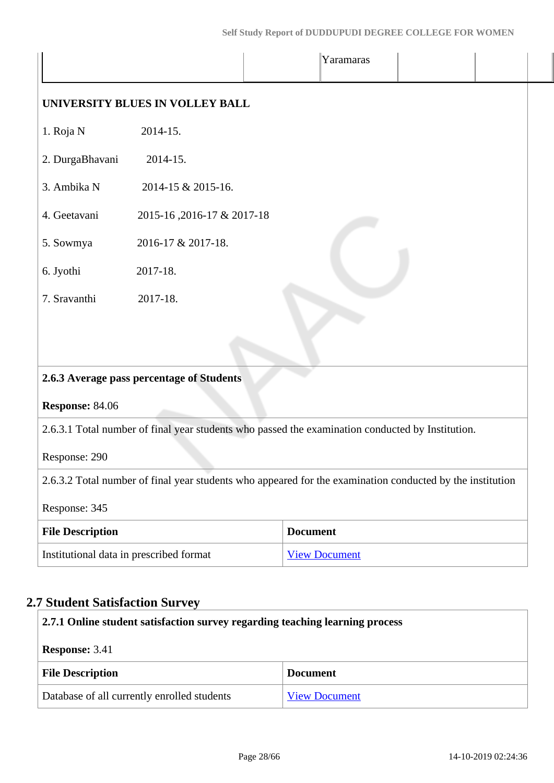|                         |                                                                                                           |                 | Yaramaras            |  |
|-------------------------|-----------------------------------------------------------------------------------------------------------|-----------------|----------------------|--|
|                         | UNIVERSITY BLUES IN VOLLEY BALL                                                                           |                 |                      |  |
| 1. Roja N               | 2014-15.                                                                                                  |                 |                      |  |
| 2. DurgaBhavani         | 2014-15.                                                                                                  |                 |                      |  |
| 3. Ambika N             | 2014-15 & 2015-16.                                                                                        |                 |                      |  |
| 4. Geetavani            | 2015-16, 2016-17 & 2017-18                                                                                |                 |                      |  |
| 5. Sowmya               | 2016-17 & 2017-18.                                                                                        |                 |                      |  |
| 6. Jyothi               | 2017-18.                                                                                                  |                 |                      |  |
| 7. Sravanthi            | 2017-18.                                                                                                  |                 |                      |  |
| Response: 84.06         | 2.6.3 Average pass percentage of Students                                                                 |                 |                      |  |
|                         | 2.6.3.1 Total number of final year students who passed the examination conducted by Institution.          |                 |                      |  |
| Response: 290           |                                                                                                           |                 |                      |  |
|                         | 2.6.3.2 Total number of final year students who appeared for the examination conducted by the institution |                 |                      |  |
| Response: 345           |                                                                                                           |                 |                      |  |
| <b>File Description</b> |                                                                                                           | <b>Document</b> |                      |  |
|                         | Institutional data in prescribed format                                                                   |                 | <b>View Document</b> |  |

# **2.7 Student Satisfaction Survey**

| 2.7.1 Online student satisfaction survey regarding teaching learning process |                      |  |
|------------------------------------------------------------------------------|----------------------|--|
| <b>Response: 3.41</b>                                                        |                      |  |
| <b>File Description</b>                                                      | <b>Document</b>      |  |
| Database of all currently enrolled students                                  | <b>View Document</b> |  |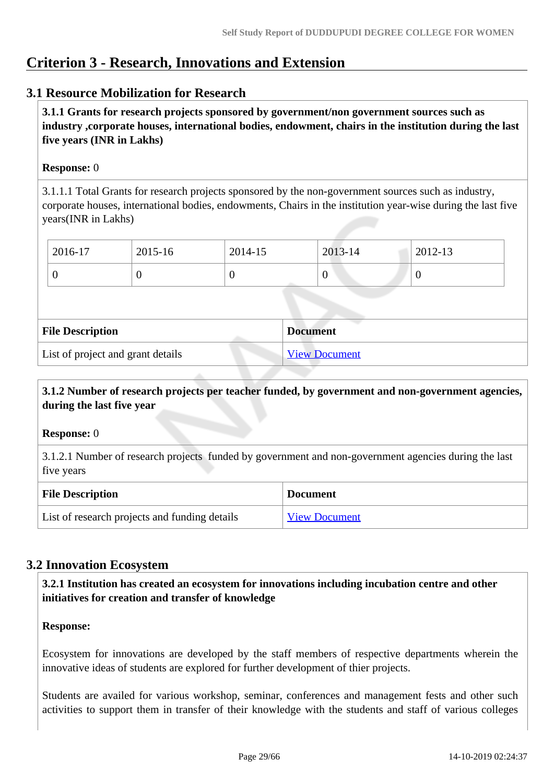# **Criterion 3 - Research, Innovations and Extension**

# **3.1 Resource Mobilization for Research**

 **3.1.1 Grants for research projects sponsored by government/non government sources such as industry ,corporate houses, international bodies, endowment, chairs in the institution during the last five years (INR in Lakhs)** 

## **Response:** 0

3.1.1.1 Total Grants for research projects sponsored by the non-government sources such as industry, corporate houses, international bodies, endowments, Chairs in the institution year-wise during the last five years(INR in Lakhs)

| 2016-17 | 2015-16 | 2014-15 | 2013-14 | 2012-13 |
|---------|---------|---------|---------|---------|
|         |         |         | ν       |         |

| <b>File Description</b>           | <b>Document</b>      |
|-----------------------------------|----------------------|
| List of project and grant details | <b>View Document</b> |

## **3.1.2 Number of research projects per teacher funded, by government and non-government agencies, during the last five year**

#### **Response:** 0

3.1.2.1 Number of research projects funded by government and non-government agencies during the last five years

| <b>File Description</b>                       | <b>Document</b>      |
|-----------------------------------------------|----------------------|
| List of research projects and funding details | <b>View Document</b> |

# **3.2 Innovation Ecosystem**

 **3.2.1 Institution has created an ecosystem for innovations including incubation centre and other initiatives for creation and transfer of knowledge**

#### **Response:**

Ecosystem for innovations are developed by the staff members of respective departments wherein the innovative ideas of students are explored for further development of thier projects.

Students are availed for various workshop, seminar, conferences and management fests and other such activities to support them in transfer of their knowledge with the students and staff of various colleges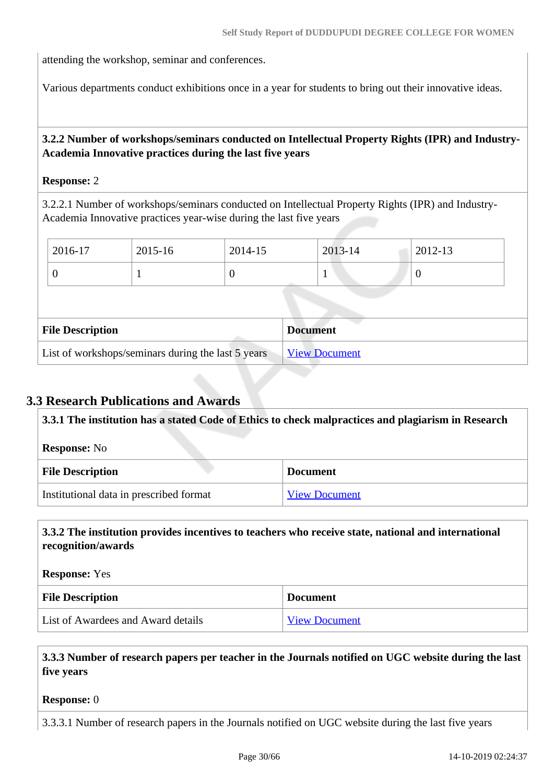attending the workshop, seminar and conferences.

Various departments conduct exhibitions once in a year for students to bring out their innovative ideas.

# **3.2.2 Number of workshops/seminars conducted on Intellectual Property Rights (IPR) and Industry-Academia Innovative practices during the last five years**

#### **Response:** 2

3.2.2.1 Number of workshops/seminars conducted on Intellectual Property Rights (IPR) and Industry-Academia Innovative practices year-wise during the last five years

| 2016-17                                            | 2015-16 | 2014-15  |  | 2013-14              | 2012-13        |  |
|----------------------------------------------------|---------|----------|--|----------------------|----------------|--|
| $\boldsymbol{0}$                                   |         | $\theta$ |  | 1                    | $\overline{0}$ |  |
|                                                    |         |          |  |                      |                |  |
| <b>File Description</b><br><b>Document</b>         |         |          |  |                      |                |  |
| List of workshops/seminars during the last 5 years |         |          |  | <b>View Document</b> |                |  |

# **3.3 Research Publications and Awards**

| 3.3.1 The institution has a stated Code of Ethics to check malpractices and plagiarism in Research |                      |  |  |  |
|----------------------------------------------------------------------------------------------------|----------------------|--|--|--|
| <b>Response:</b> No                                                                                |                      |  |  |  |
| <b>File Description</b>                                                                            | <b>Document</b>      |  |  |  |
| Institutional data in prescribed format                                                            | <b>View Document</b> |  |  |  |

## **3.3.2 The institution provides incentives to teachers who receive state, national and international recognition/awards**

**Response:** Yes

| <b>File Description</b>            | <b>Document</b>      |
|------------------------------------|----------------------|
| List of Awardees and Award details | <b>View Document</b> |

 **3.3.3 Number of research papers per teacher in the Journals notified on UGC website during the last five years**

#### **Response:** 0

3.3.3.1 Number of research papers in the Journals notified on UGC website during the last five years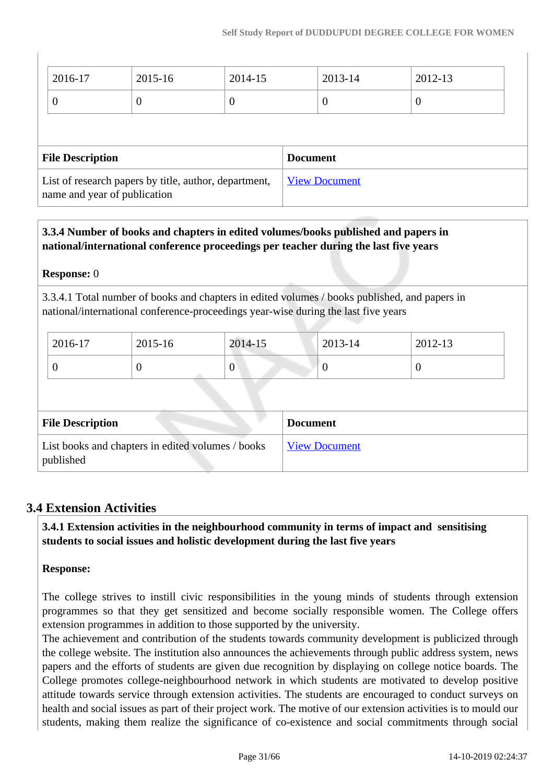| 2016-17                                                                               | 2015-16          | 2014-15        | 2013-14         | 2012-13        |  |
|---------------------------------------------------------------------------------------|------------------|----------------|-----------------|----------------|--|
| $\theta$                                                                              | $\boldsymbol{0}$ | $\overline{0}$ | 0               | $\overline{0}$ |  |
|                                                                                       |                  |                |                 |                |  |
| <b>File Description</b>                                                               |                  |                | <b>Document</b> |                |  |
| List of research papers by title, author, department,<br>name and year of publication |                  |                |                 |                |  |

# **3.3.4 Number of books and chapters in edited volumes/books published and papers in national/international conference proceedings per teacher during the last five years**

## **Response:** 0

3.3.4.1 Total number of books and chapters in edited volumes / books published, and papers in national/international conference-proceedings year-wise during the last five years

| 2016-17 | 2015-16 | 2014-15          | 2013-14 | 2012-13 |
|---------|---------|------------------|---------|---------|
| U       | ν       | $\boldsymbol{0}$ | ν       |         |

| <b>File Description</b>                                        | <b>Document</b>      |
|----------------------------------------------------------------|----------------------|
| List books and chapters in edited volumes / books<br>published | <b>View Document</b> |

# **3.4 Extension Activities**

 **3.4.1 Extension activities in the neighbourhood community in terms of impact and sensitising students to social issues and holistic development during the last five years**

# **Response:**

The college strives to instill civic responsibilities in the young minds of students through extension programmes so that they get sensitized and become socially responsible women. The College offers extension programmes in addition to those supported by the university.

The achievement and contribution of the students towards community development is publicized through the college website. The institution also announces the achievements through public address system, news papers and the efforts of students are given due recognition by displaying on college notice boards. The College promotes college-neighbourhood network in which students are motivated to develop positive attitude towards service through extension activities. The students are encouraged to conduct surveys on health and social issues as part of their project work. The motive of our extension activities is to mould our students, making them realize the significance of co-existence and social commitments through social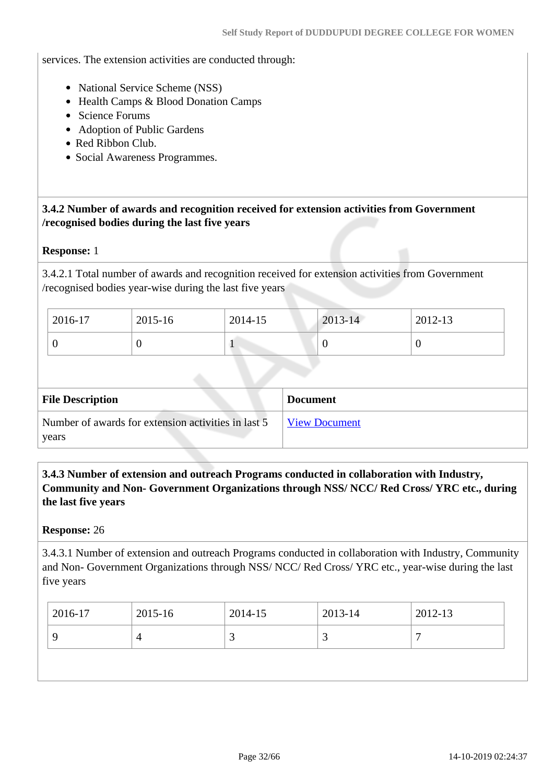services. The extension activities are conducted through:

- National Service Scheme (NSS)
- Health Camps & Blood Donation Camps
- Science Forums
- Adoption of Public Gardens
- Red Ribbon Club.
- Social Awareness Programmes.

 **3.4.2 Number of awards and recognition received for extension activities from Government /recognised bodies during the last five years**

#### **Response:** 1

3.4.2.1 Total number of awards and recognition received for extension activities from Government /recognised bodies year-wise during the last five years

| 2016-17 | 2015-16 | 2014-15 | $2013 - 14$ | 2012-13 |
|---------|---------|---------|-------------|---------|
|         | ν       |         | ν           |         |

| <b>File Description</b>                                      | <b>Document</b>      |
|--------------------------------------------------------------|----------------------|
| Number of awards for extension activities in last 5<br>years | <b>View Document</b> |

 **3.4.3 Number of extension and outreach Programs conducted in collaboration with Industry, Community and Non- Government Organizations through NSS/ NCC/ Red Cross/ YRC etc., during the last five years** 

#### **Response:** 26

3.4.3.1 Number of extension and outreach Programs conducted in collaboration with Industry, Community and Non- Government Organizations through NSS/ NCC/ Red Cross/ YRC etc., year-wise during the last five years

| 2016-17 | 2015-16 | 2014-15 | 2013-14 | 2012-13 |
|---------|---------|---------|---------|---------|
|         |         | ັ       | ت       | -       |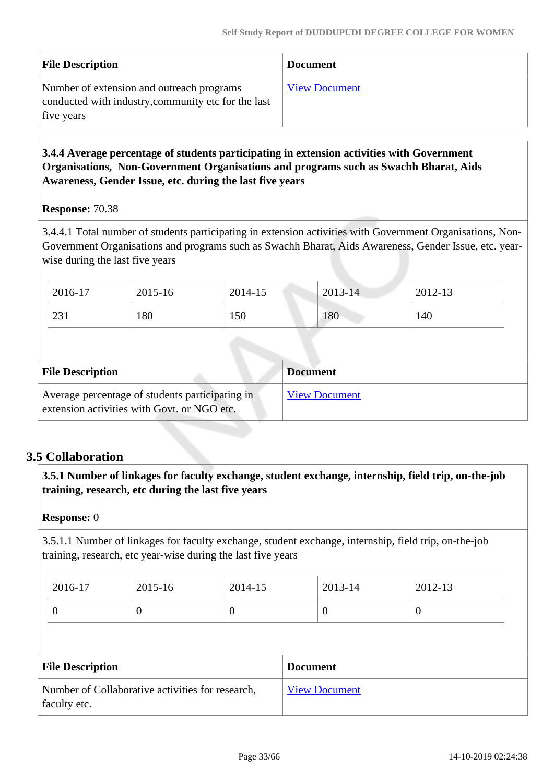| <b>File Description</b>                                                                                        | <b>Document</b>      |
|----------------------------------------------------------------------------------------------------------------|----------------------|
| Number of extension and outreach programs<br>conducted with industry, community etc for the last<br>five years | <b>View Document</b> |

## **3.4.4 Average percentage of students participating in extension activities with Government Organisations, Non-Government Organisations and programs such as Swachh Bharat, Aids Awareness, Gender Issue, etc. during the last five years**

#### **Response:** 70.38

3.4.4.1 Total number of students participating in extension activities with Government Organisations, Non-Government Organisations and programs such as Swachh Bharat, Aids Awareness, Gender Issue, etc. yearwise during the last five years

| 2016-17 | 2015-16 | 2014-15 | $2013 - 14$ | 2012-13 |
|---------|---------|---------|-------------|---------|
| 231     | 180     | 150     | 180         | 140     |

| <b>File Description</b>                                                                        | <b>Document</b>      |
|------------------------------------------------------------------------------------------------|----------------------|
| Average percentage of students participating in<br>extension activities with Govt. or NGO etc. | <b>View Document</b> |

# **3.5 Collaboration**

 **3.5.1 Number of linkages for faculty exchange, student exchange, internship, field trip, on-the-job training, research, etc during the last five years**

#### **Response:** 0

3.5.1.1 Number of linkages for faculty exchange, student exchange, internship, field trip, on-the-job training, research, etc year-wise during the last five years

| 2016-17 | 2015-16 | 2014-15 | 2013-14 | 2012-13 |
|---------|---------|---------|---------|---------|
|         | ν       |         |         | ◡       |

| <b>File Description</b>                                          | <b>Document</b>      |
|------------------------------------------------------------------|----------------------|
| Number of Collaborative activities for research,<br>faculty etc. | <b>View Document</b> |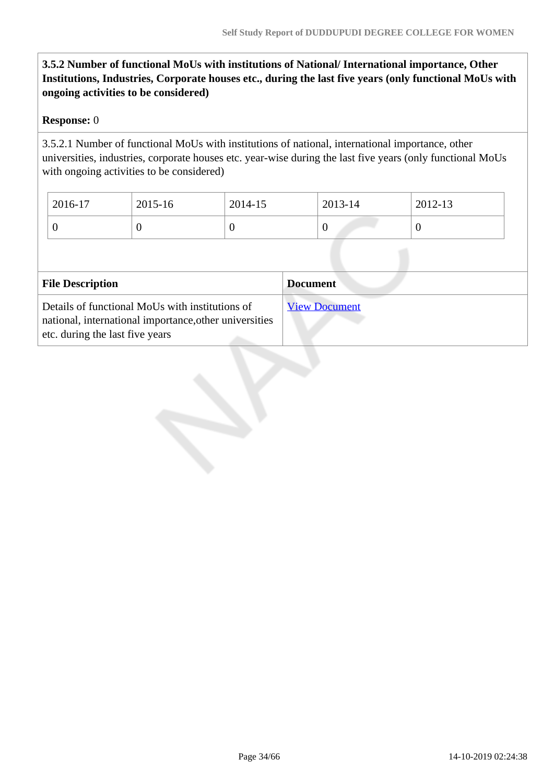# **3.5.2 Number of functional MoUs with institutions of National/ International importance, Other Institutions, Industries, Corporate houses etc., during the last five years (only functional MoUs with ongoing activities to be considered)**

## **Response:** 0

3.5.2.1 Number of functional MoUs with institutions of national, international importance, other universities, industries, corporate houses etc. year-wise during the last five years (only functional MoUs with ongoing activities to be considered)

| 2016-17 | 2015-16 | 2014-15 | 2013-14 | 2012-13 |
|---------|---------|---------|---------|---------|
| ◡       |         | v       |         |         |

| <b>File Description</b>                                                                                                                      | <b>Document</b>      |
|----------------------------------------------------------------------------------------------------------------------------------------------|----------------------|
| Details of functional MoUs with institutions of<br>national, international importance, other universities<br>etc. during the last five years | <b>View Document</b> |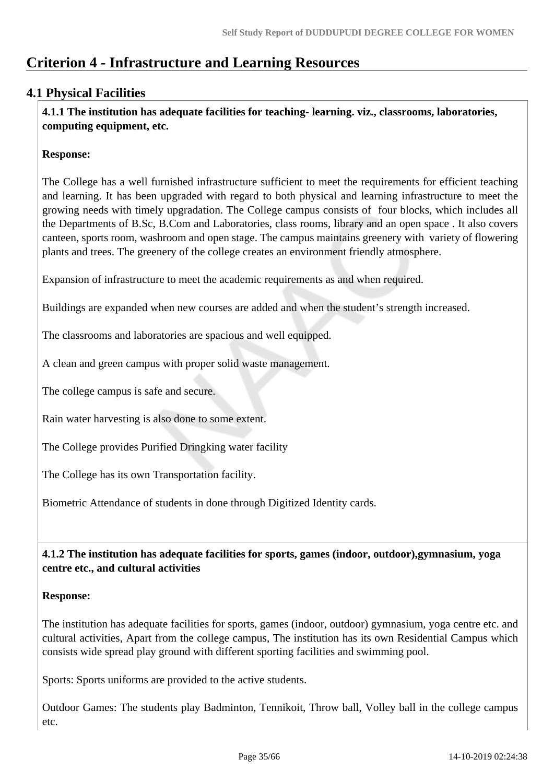# **Criterion 4 - Infrastructure and Learning Resources**

# **4.1 Physical Facilities**

 **4.1.1 The institution has adequate facilities for teaching- learning. viz., classrooms, laboratories, computing equipment, etc.**

# **Response:**

The College has a well furnished infrastructure sufficient to meet the requirements for efficient teaching and learning. It has been upgraded with regard to both physical and learning infrastructure to meet the growing needs with timely upgradation. The College campus consists of four blocks, which includes all the Departments of B.Sc, B.Com and Laboratories, class rooms, library and an open space . It also covers canteen, sports room, washroom and open stage. The campus maintains greenery with variety of flowering plants and trees. The greenery of the college creates an environment friendly atmosphere.

Expansion of infrastructure to meet the academic requirements as and when required.

Buildings are expanded when new courses are added and when the student's strength increased.

The classrooms and laboratories are spacious and well equipped.

A clean and green campus with proper solid waste management.

The college campus is safe and secure.

Rain water harvesting is also done to some extent.

The College provides Purified Dringking water facility

The College has its own Transportation facility.

Biometric Attendance of students in done through Digitized Identity cards.

 **4.1.2 The institution has adequate facilities for sports, games (indoor, outdoor),gymnasium, yoga centre etc., and cultural activities**

#### **Response:**

The institution has adequate facilities for sports, games (indoor, outdoor) gymnasium, yoga centre etc. and cultural activities, Apart from the college campus, The institution has its own Residential Campus which consists wide spread play ground with different sporting facilities and swimming pool.

Sports: Sports uniforms are provided to the active students.

Outdoor Games: The students play Badminton, Tennikoit, Throw ball, Volley ball in the college campus etc.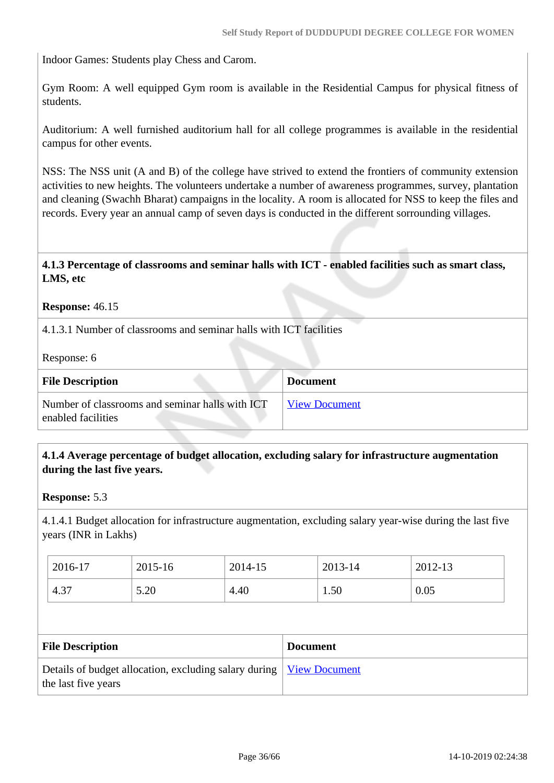Indoor Games: Students play Chess and Carom.

Gym Room: A well equipped Gym room is available in the Residential Campus for physical fitness of students.

Auditorium: A well furnished auditorium hall for all college programmes is available in the residential campus for other events.

NSS: The NSS unit (A and B) of the college have strived to extend the frontiers of community extension activities to new heights. The volunteers undertake a number of awareness programmes, survey, plantation and cleaning (Swachh Bharat) campaigns in the locality. A room is allocated for NSS to keep the files and records. Every year an annual camp of seven days is conducted in the different sorrounding villages.

### **4.1.3 Percentage of classrooms and seminar halls with ICT - enabled facilities such as smart class, LMS, etc**

#### **Response:** 46.15

4.1.3.1 Number of classrooms and seminar halls with ICT facilities

Response: 6

| <b>File Description</b>                                               | <b>Document</b>      |
|-----------------------------------------------------------------------|----------------------|
| Number of classrooms and seminar halls with ICT<br>enabled facilities | <b>View Document</b> |

#### **4.1.4 Average percentage of budget allocation, excluding salary for infrastructure augmentation during the last five years.**

**Response:** 5.3

4.1.4.1 Budget allocation for infrastructure augmentation, excluding salary year-wise during the last five years (INR in Lakhs)

| 2016-17 | 2015-16 | 2014-15 | 2013-14 | 2012-13 |
|---------|---------|---------|---------|---------|
| 4.37    | 5.20    | 4.40    | 1.50    | 0.05    |

| <b>File Description</b>                                                                             | <b>Document</b> |
|-----------------------------------------------------------------------------------------------------|-----------------|
| Details of budget allocation, excluding salary during   <u>View Document</u><br>the last five years |                 |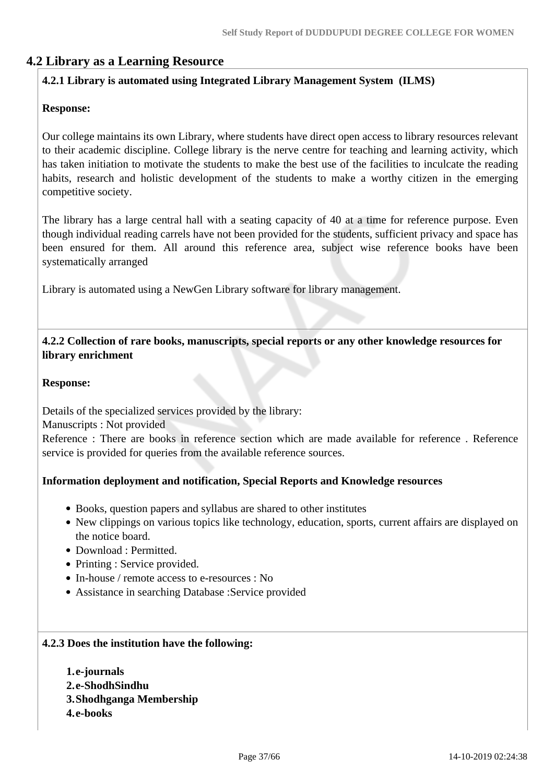# **4.2 Library as a Learning Resource**

## **4.2.1 Library is automated using Integrated Library Management System (ILMS)**

#### **Response:**

Our college maintains its own Library, where students have direct open access to library resources relevant to their academic discipline. College library is the nerve centre for teaching and learning activity, which has taken initiation to motivate the students to make the best use of the facilities to inculcate the reading habits, research and holistic development of the students to make a worthy citizen in the emerging competitive society.

The library has a large central hall with a seating capacity of 40 at a time for reference purpose. Even though individual reading carrels have not been provided for the students, sufficient privacy and space has been ensured for them. All around this reference area, subject wise reference books have been systematically arranged

Library is automated using a NewGen Library software for library management.

 **4.2.2 Collection of rare books, manuscripts, special reports or any other knowledge resources for library enrichment**

#### **Response:**

Details of the specialized services provided by the library:

Manuscripts : Not provided

Reference : There are books in reference section which are made available for reference . Reference service is provided for queries from the available reference sources.

#### **Information deployment and notification, Special Reports and Knowledge resources**

- Books, question papers and syllabus are shared to other institutes
- New clippings on various topics like technology, education, sports, current affairs are displayed on the notice board.
- Download : Permitted.
- Printing : Service provided.
- In-house / remote access to e-resources : No
- Assistance in searching Database :Service provided

#### **4.2.3 Does the institution have the following:**

**1.e-journals 2.e-ShodhSindhu 3.Shodhganga Membership 4.e-books**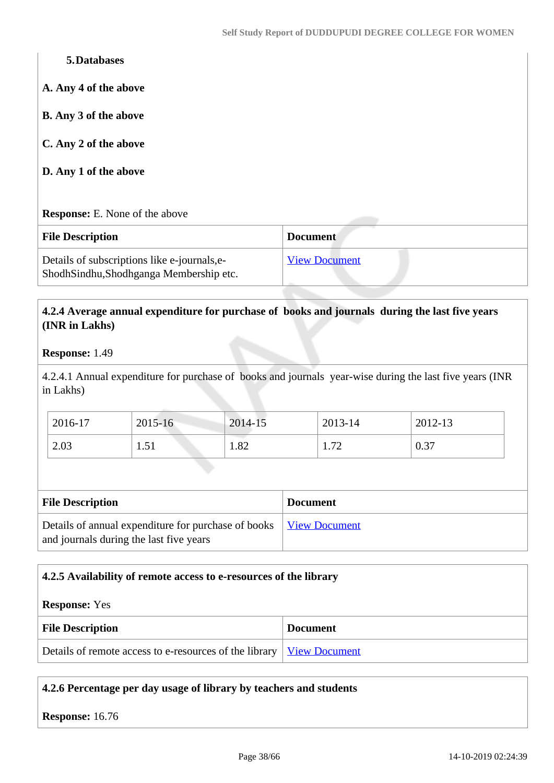| 5. Databases                                                                           |                      |
|----------------------------------------------------------------------------------------|----------------------|
| A. Any 4 of the above                                                                  |                      |
| <b>B.</b> Any 3 of the above                                                           |                      |
| C. Any 2 of the above                                                                  |                      |
| D. Any 1 of the above                                                                  |                      |
|                                                                                        |                      |
| <b>Response:</b> E. None of the above                                                  |                      |
| <b>File Description</b>                                                                | <b>Document</b>      |
| Details of subscriptions like e-journals, e-<br>ShodhSindhu,Shodhganga Membership etc. | <b>View Document</b> |

## **4.2.4 Average annual expenditure for purchase of books and journals during the last five years (INR in Lakhs)**

#### **Response:** 1.49

4.2.4.1 Annual expenditure for purchase of books and journals year-wise during the last five years (INR in Lakhs)

| 2016-17 | 2015-16        | 2014-15 | 2013-14               | 2012-13 |
|---------|----------------|---------|-----------------------|---------|
| 2.03    | $\leq$<br>1.JI | 1.82    | $\mathcal{L}$<br>1.74 | 0.37    |

| <b>File Description</b>                                                                                        | <b>Document</b> |
|----------------------------------------------------------------------------------------------------------------|-----------------|
| Details of annual expenditure for purchase of books   View Document<br>and journals during the last five years |                 |

#### **4.2.5 Availability of remote access to e-resources of the library**

#### **Response:** Yes

| <b>File Description</b>                                                | <b>Document</b> |
|------------------------------------------------------------------------|-----------------|
| Details of remote access to e-resources of the library   View Document |                 |

# **4.2.6 Percentage per day usage of library by teachers and students**

**Response:** 16.76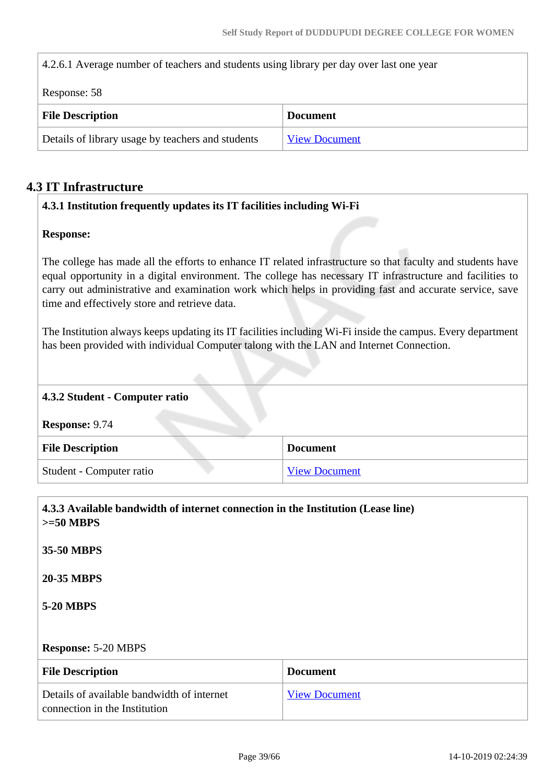4.2.6.1 Average number of teachers and students using library per day over last one year

| Response: 58                                      |                      |
|---------------------------------------------------|----------------------|
| <b>File Description</b>                           | <b>Document</b>      |
| Details of library usage by teachers and students | <b>View Document</b> |

# **4.3 IT Infrastructure**

## **4.3.1 Institution frequently updates its IT facilities including Wi-Fi**

#### **Response:**

The college has made all the efforts to enhance IT related infrastructure so that faculty and students have equal opportunity in a digital environment. The college has necessary IT infrastructure and facilities to carry out administrative and examination work which helps in providing fast and accurate service, save time and effectively store and retrieve data.

The Institution always keeps updating its IT facilities including Wi-Fi inside the campus. Every department has been provided with individual Computer talong with the LAN and Internet Connection.

# **4.3.2 Student - Computer ratio Response:** 9.74 **File Description Document** Student - Computer ratio [View Document](https://assessmentonline.naac.gov.in/storage/app/hei/SSR/100057/4.3.2_1508310353_85.xlsx)

| 4.3.3 Available bandwidth of internet connection in the Institution (Lease line)<br>$>=50$ MBPS |                      |
|-------------------------------------------------------------------------------------------------|----------------------|
| 35-50 MBPS                                                                                      |                      |
| <b>20-35 MBPS</b>                                                                               |                      |
| <b>5-20 MBPS</b>                                                                                |                      |
| <b>Response: 5-20 MBPS</b>                                                                      |                      |
| <b>File Description</b>                                                                         | <b>Document</b>      |
| Details of available bandwidth of internet<br>connection in the Institution                     | <b>View Document</b> |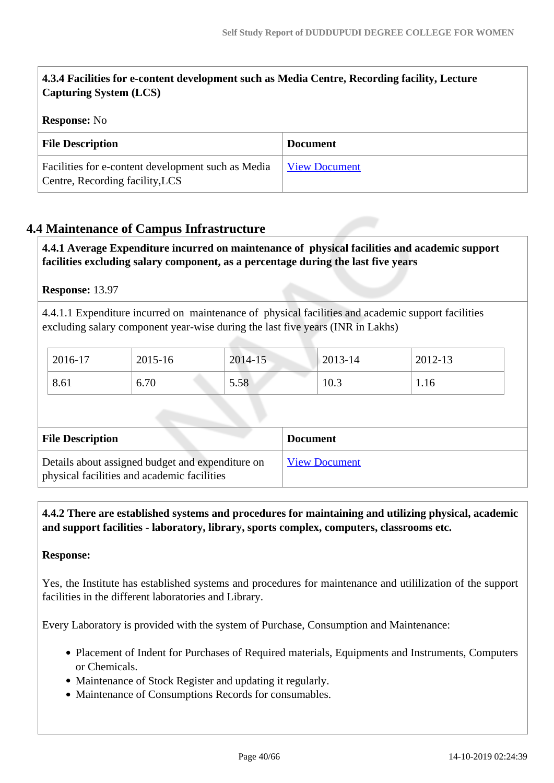# **4.3.4 Facilities for e-content development such as Media Centre, Recording facility, Lecture Capturing System (LCS)**

## **Response:** No

| <b>File Description</b>                                                               | <b>Document</b>      |
|---------------------------------------------------------------------------------------|----------------------|
| Facilities for e-content development such as Media<br>Centre, Recording facility, LCS | <b>View Document</b> |

# **4.4 Maintenance of Campus Infrastructure**

 **4.4.1 Average Expenditure incurred on maintenance of physical facilities and academic support facilities excluding salary component, as a percentage during the last five years**

#### **Response:** 13.97

4.4.1.1 Expenditure incurred on maintenance of physical facilities and academic support facilities excluding salary component year-wise during the last five years (INR in Lakhs)

| 2016-17 | 2015-16 | 2014-15 | $2013 - 14$ | 2012-13 |
|---------|---------|---------|-------------|---------|
| 8.61    | 6.70    | 5.58    | 10.3        | 1.16    |

| <b>File Description</b>                                                                         | <b>Document</b>      |
|-------------------------------------------------------------------------------------------------|----------------------|
| Details about assigned budget and expenditure on<br>physical facilities and academic facilities | <b>View Document</b> |

 **4.4.2 There are established systems and procedures for maintaining and utilizing physical, academic and support facilities - laboratory, library, sports complex, computers, classrooms etc.**

#### **Response:**

Yes, the Institute has established systems and procedures for maintenance and utililization of the support facilities in the different laboratories and Library.

Every Laboratory is provided with the system of Purchase, Consumption and Maintenance:

- Placement of Indent for Purchases of Required materials, Equipments and Instruments, Computers or Chemicals.
- Maintenance of Stock Register and updating it regularly.
- Maintenance of Consumptions Records for consumables.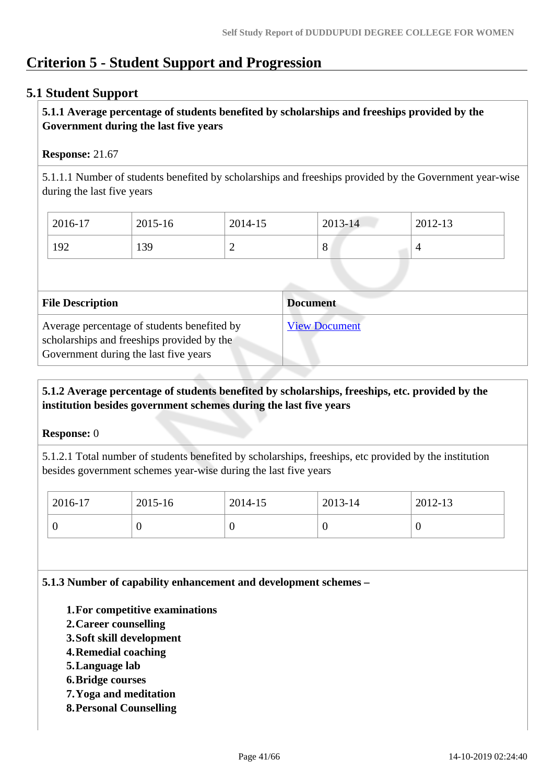# **Criterion 5 - Student Support and Progression**

# **5.1 Student Support**

## **5.1.1 Average percentage of students benefited by scholarships and freeships provided by the Government during the last five years**

## **Response:** 21.67

5.1.1.1 Number of students benefited by scholarships and freeships provided by the Government year-wise during the last five years

| 2016-17 | 2015-16 | 2014-15 | 2013-14             | 2012-13 |
|---------|---------|---------|---------------------|---------|
| 192     | 139     | ∸       | $\Omega$<br>$\circ$ |         |

| <b>File Description</b>                                                                                                            | <b>Document</b>      |
|------------------------------------------------------------------------------------------------------------------------------------|----------------------|
| Average percentage of students benefited by<br>scholarships and freeships provided by the<br>Government during the last five years | <b>View Document</b> |

## **5.1.2 Average percentage of students benefited by scholarships, freeships, etc. provided by the institution besides government schemes during the last five years**

#### **Response:** 0

5.1.2.1 Total number of students benefited by scholarships, freeships, etc provided by the institution besides government schemes year-wise during the last five years

| 2016-17 | 2015-16 | 2014-15 | 2013-14 | $2012 - 13$ |
|---------|---------|---------|---------|-------------|
|         |         | ν       |         | ν           |

**5.1.3 Number of capability enhancement and development schemes –**

- **1.For competitive examinations**
- **2.Career counselling**
- **3.Soft skill development**
- **4.Remedial coaching**
- **5.Language lab**
- **6.Bridge courses**
- **7.Yoga and meditation**
- **8.Personal Counselling**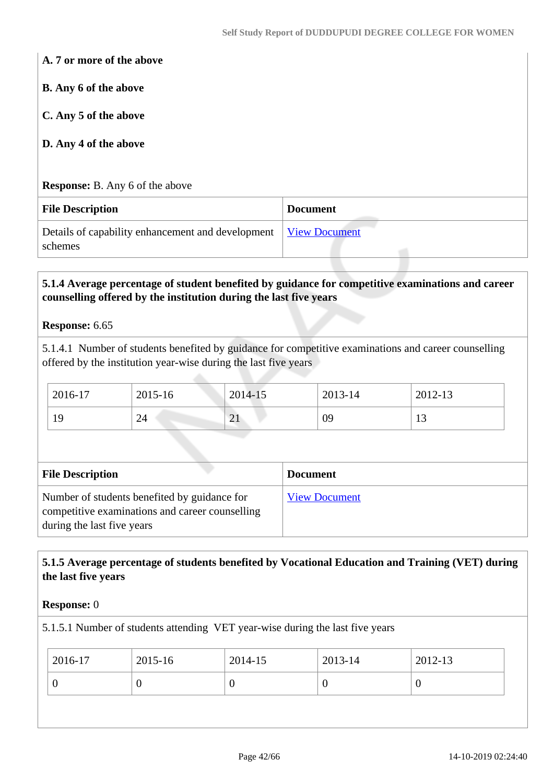**A. 7 or more of the above**

**B. Any 6 of the above**

**C. Any 5 of the above**

**D. Any 4 of the above**

**Response:** B. Any 6 of the above

| <b>File Description</b>                                                    | <b>Document</b> |
|----------------------------------------------------------------------------|-----------------|
| Details of capability enhancement and development View Document<br>schemes |                 |

#### **5.1.4 Average percentage of student benefited by guidance for competitive examinations and career counselling offered by the institution during the last five years**

#### **Response:** 6.65

5.1.4.1 Number of students benefited by guidance for competitive examinations and career counselling offered by the institution year-wise during the last five years

| 2016-17 | 2015-16 | 2014-15               | 2013-14 | 2012-13 |
|---------|---------|-----------------------|---------|---------|
| 19      | 24      | $\bigcap$<br>$\sim$ 1 | 09      | . . J   |

| <b>File Description</b>                                                                                                       | <b>Document</b>      |
|-------------------------------------------------------------------------------------------------------------------------------|----------------------|
| Number of students benefited by guidance for<br>competitive examinations and career counselling<br>during the last five years | <b>View Document</b> |

### **5.1.5 Average percentage of students benefited by Vocational Education and Training (VET) during the last five years**

#### **Response:** 0

5.1.5.1 Number of students attending VET year-wise during the last five years

| 2016-17 | 2015-16 | 2014-15 | 2013-14 | 2012-13 |
|---------|---------|---------|---------|---------|
|         |         |         |         |         |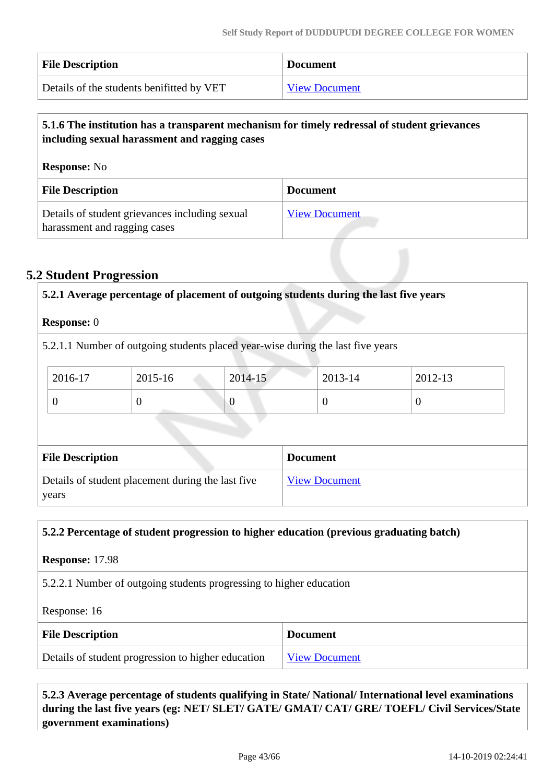| <b>File Description</b>                   | <b>Document</b>      |
|-------------------------------------------|----------------------|
| Details of the students benifitted by VET | <b>View Document</b> |

# **5.1.6 The institution has a transparent mechanism for timely redressal of student grievances including sexual harassment and ragging cases**

| <b>Response:</b> No                                                            |                      |  |
|--------------------------------------------------------------------------------|----------------------|--|
| <b>File Description</b>                                                        | <b>Document</b>      |  |
| Details of student grievances including sexual<br>harassment and ragging cases | <b>View Document</b> |  |

# **5.2 Student Progression**

|                         | 5.2.1.1 Number of outgoing students placed year-wise during the last five years |          |                 |                |                |
|-------------------------|---------------------------------------------------------------------------------|----------|-----------------|----------------|----------------|
|                         |                                                                                 |          |                 |                |                |
| 2016-17                 | 2015-16                                                                         | 2014-15  |                 | 2013-14        | 2012-13        |
| $\theta$                | $\theta$                                                                        | $\theta$ |                 | $\overline{0}$ | $\overline{0}$ |
| <b>File Description</b> |                                                                                 |          | <b>Document</b> |                |                |

#### **5.2.2 Percentage of student progression to higher education (previous graduating batch)**

**Response:** 17.98

5.2.2.1 Number of outgoing students progressing to higher education

Response: 16

| <b>File Description</b>                            | <b>Document</b>      |
|----------------------------------------------------|----------------------|
| Details of student progression to higher education | <b>View Document</b> |

 **5.2.3 Average percentage of students qualifying in State/ National/ International level examinations during the last five years (eg: NET/ SLET/ GATE/ GMAT/ CAT/ GRE/ TOEFL/ Civil Services/State government examinations)**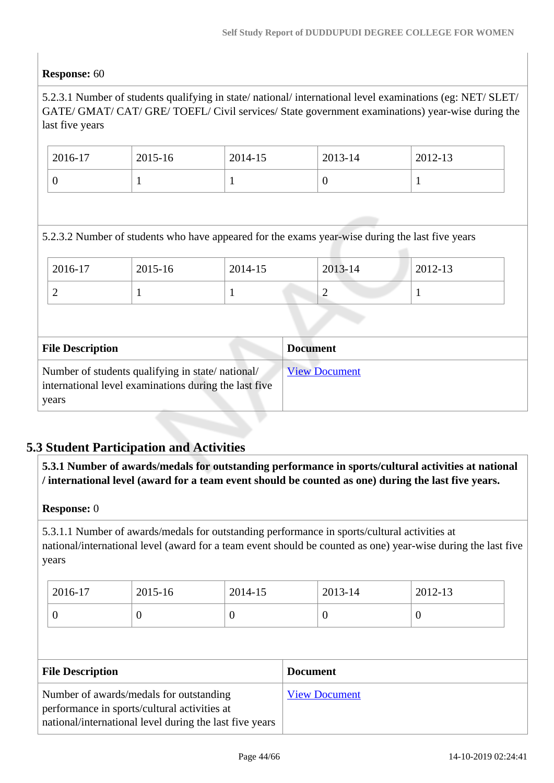## **Response:** 60

5.2.3.1 Number of students qualifying in state/ national/ international level examinations (eg: NET/ SLET/ GATE/ GMAT/ CAT/ GRE/ TOEFL/ Civil services/ State government examinations) year-wise during the last five years

| 2016-17 | 2015-16 | 2014-15 | 2013-14 | 2012-13 |
|---------|---------|---------|---------|---------|
|         |         |         |         |         |

#### 5.2.3.2 Number of students who have appeared for the exams year-wise during the last five years

| 2016-17 | 2015-16 | 2014-15 | 2013-14 | 2012-13 |
|---------|---------|---------|---------|---------|
| ∽       |         |         |         |         |

| <b>File Description</b>                                                                                            | <b>Document</b>      |
|--------------------------------------------------------------------------------------------------------------------|----------------------|
| Number of students qualifying in state/national/<br>international level examinations during the last five<br>years | <b>View Document</b> |

# **5.3 Student Participation and Activities**

 **5.3.1 Number of awards/medals for outstanding performance in sports/cultural activities at national / international level (award for a team event should be counted as one) during the last five years.**

#### **Response:** 0

5.3.1.1 Number of awards/medals for outstanding performance in sports/cultural activities at national/international level (award for a team event should be counted as one) year-wise during the last five years

| 2016-17 | 2015-16 | 2014-15 | 2013-14 | 2012-13 |
|---------|---------|---------|---------|---------|
|         |         | v       | ν       | U       |

| <b>File Description</b>                                                                 | <b>Document</b>      |
|-----------------------------------------------------------------------------------------|----------------------|
| Number of awards/medals for outstanding<br>performance in sports/cultural activities at | <b>View Document</b> |
| national/international level during the last five years                                 |                      |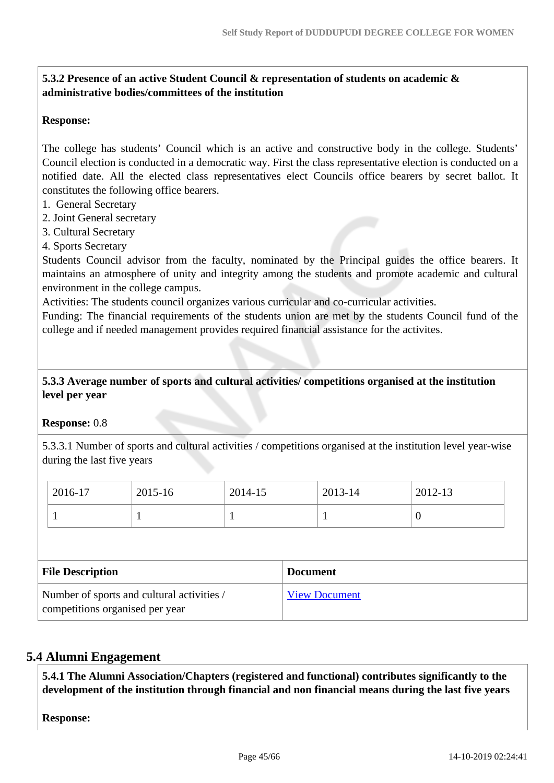# **5.3.2 Presence of an active Student Council & representation of students on academic & administrative bodies/committees of the institution**

#### **Response:**

The college has students' Council which is an active and constructive body in the college. Students' Council election is conducted in a democratic way. First the class representative election is conducted on a notified date. All the elected class representatives elect Councils office bearers by secret ballot. It constitutes the following office bearers.

- 1. General Secretary
- 2. Joint General secretary
- 3. Cultural Secretary
- 4. Sports Secretary

Students Council advisor from the faculty, nominated by the Principal guides the office bearers. It maintains an atmosphere of unity and integrity among the students and promote academic and cultural environment in the college campus.

Activities: The students council organizes various curricular and co-curricular activities.

Funding: The financial requirements of the students union are met by the students Council fund of the college and if needed management provides required financial assistance for the activites.

#### **5.3.3 Average number of sports and cultural activities/ competitions organised at the institution level per year**

#### **Response:** 0.8

5.3.3.1 Number of sports and cultural activities / competitions organised at the institution level year-wise during the last five years

| 2016-17 | 2015-16 | 2014-15                  | 2013-14 | 2012-13 |
|---------|---------|--------------------------|---------|---------|
|         |         | $\overline{\phantom{a}}$ |         | ◡       |

| <b>File Description</b>                                                       | <b>Document</b>      |
|-------------------------------------------------------------------------------|----------------------|
| Number of sports and cultural activities /<br>competitions organised per year | <b>View Document</b> |

#### **5.4 Alumni Engagement**

 **5.4.1 The Alumni Association/Chapters (registered and functional) contributes significantly to the development of the institution through financial and non financial means during the last five years**

**Response:**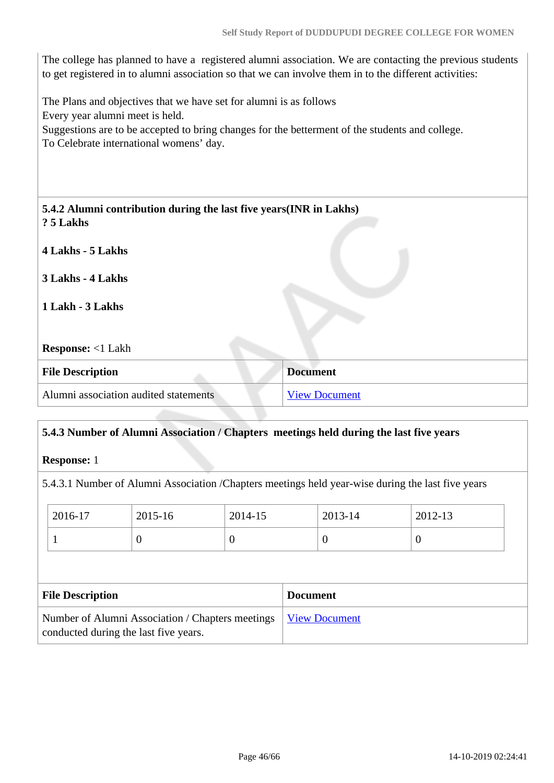The college has planned to have a registered alumni association. We are contacting the previous students to get registered in to alumni association so that we can involve them in to the different activities:

The Plans and objectives that we have set for alumni is as follows Every year alumni meet is held. Suggestions are to be accepted to bring changes for the betterment of the students and college. To Celebrate international womens' day.

| 5.4.2 Alumni contribution during the last five years (INR in Lakhs)<br>? 5 Lakhs |                      |
|----------------------------------------------------------------------------------|----------------------|
| 4 Lakhs - 5 Lakhs                                                                |                      |
| 3 Lakhs - 4 Lakhs                                                                |                      |
| 1 Lakh - 3 Lakhs                                                                 |                      |
| <b>Response:</b> <1 Lakh                                                         |                      |
| <b>File Description</b>                                                          | <b>Document</b>      |
| Alumni association audited statements                                            | <b>View Document</b> |

| 2016-17<br>2015-16<br>2014-15 |                    |          | 2013-14  | 2012-13                                                                                           |
|-------------------------------|--------------------|----------|----------|---------------------------------------------------------------------------------------------------|
| 0<br>$\theta$                 |                    | $\theta$ | $\theta$ |                                                                                                   |
|                               | <b>Response:</b> 1 |          |          | 5.4.3.1 Number of Alumni Association /Chapters meetings held year-wise during the last five years |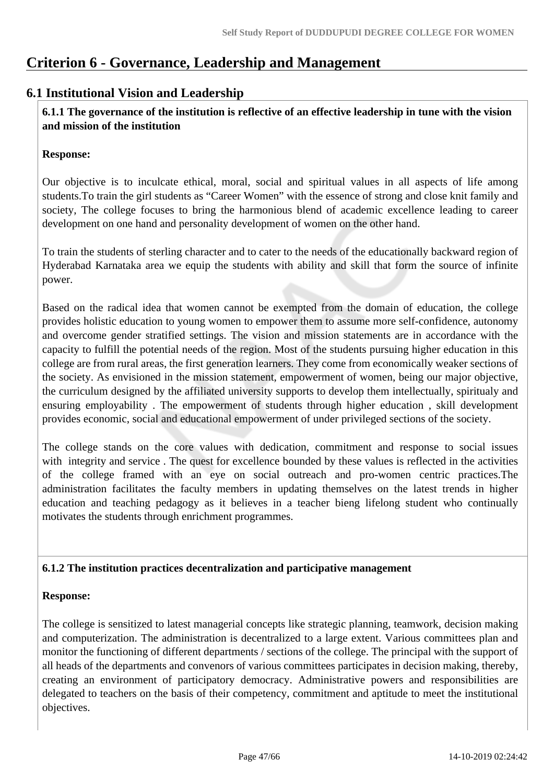# **Criterion 6 - Governance, Leadership and Management**

# **6.1 Institutional Vision and Leadership**

 **6.1.1 The governance of the institution is reflective of an effective leadership in tune with the vision and mission of the institution**

#### **Response:**

Our objective is to inculcate ethical, moral, social and spiritual values in all aspects of life among students.To train the girl students as "Career Women" with the essence of strong and close knit family and society, The college focuses to bring the harmonious blend of academic excellence leading to career development on one hand and personality development of women on the other hand.

To train the students of sterling character and to cater to the needs of the educationally backward region of Hyderabad Karnataka area we equip the students with ability and skill that form the source of infinite power.

Based on the radical idea that women cannot be exempted from the domain of education, the college provides holistic education to young women to empower them to assume more self-confidence, autonomy and overcome gender stratified settings. The vision and mission statements are in accordance with the capacity to fulfill the potential needs of the region. Most of the students pursuing higher education in this college are from rural areas, the first generation learners. They come from economically weaker sections of the society. As envisioned in the mission statement, empowerment of women, being our major objective, the curriculum designed by the affiliated university supports to develop them intellectually, spiritualy and ensuring employability . The empowerment of students through higher education , skill development provides economic, social and educational empowerment of under privileged sections of the society.

The college stands on the core values with dedication, commitment and response to social issues with integrity and service. The quest for excellence bounded by these values is reflected in the activities of the college framed with an eye on social outreach and pro-women centric practices.The administration facilitates the faculty members in updating themselves on the latest trends in higher education and teaching pedagogy as it believes in a teacher bieng lifelong student who continually motivates the students through enrichment programmes.

# **6.1.2 The institution practices decentralization and participative management**

#### **Response:**

The college is sensitized to latest managerial concepts like strategic planning, teamwork, decision making and computerization. The administration is decentralized to a large extent. Various committees plan and monitor the functioning of different departments / sections of the college. The principal with the support of all heads of the departments and convenors of various committees participates in decision making, thereby, creating an environment of participatory democracy. Administrative powers and responsibilities are delegated to teachers on the basis of their competency, commitment and aptitude to meet the institutional objectives.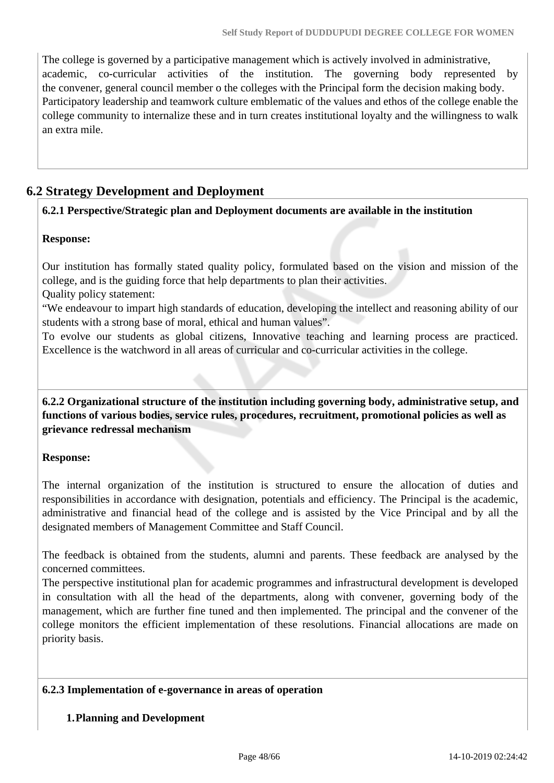The college is governed by a participative management which is actively involved in administrative, academic, co-curricular activities of the institution. The governing body represented by the convener, general council member o the colleges with the Principal form the decision making body. Participatory leadership and teamwork culture emblematic of the values and ethos of the college enable the college community to internalize these and in turn creates institutional loyalty and the willingness to walk an extra mile.

# **6.2 Strategy Development and Deployment**

## **6.2.1 Perspective/Strategic plan and Deployment documents are available in the institution**

#### **Response:**

Our institution has formally stated quality policy, formulated based on the vision and mission of the college, and is the guiding force that help departments to plan their activities.

#### Quality policy statement:

"We endeavour to impart high standards of education, developing the intellect and reasoning ability of our students with a strong base of moral, ethical and human values".

To evolve our students as global citizens, Innovative teaching and learning process are practiced. Excellence is the watchword in all areas of curricular and co-curricular activities in the college.

 **6.2.2 Organizational structure of the institution including governing body, administrative setup, and functions of various bodies, service rules, procedures, recruitment, promotional policies as well as grievance redressal mechanism**

#### **Response:**

The internal organization of the institution is structured to ensure the allocation of duties and responsibilities in accordance with designation, potentials and efficiency. The Principal is the academic, administrative and financial head of the college and is assisted by the Vice Principal and by all the designated members of Management Committee and Staff Council.

The feedback is obtained from the students, alumni and parents. These feedback are analysed by the concerned committees.

The perspective institutional plan for academic programmes and infrastructural development is developed in consultation with all the head of the departments, along with convener, governing body of the management, which are further fine tuned and then implemented. The principal and the convener of the college monitors the efficient implementation of these resolutions. Financial allocations are made on priority basis.

#### **6.2.3 Implementation of e-governance in areas of operation**

#### **1.Planning and Development**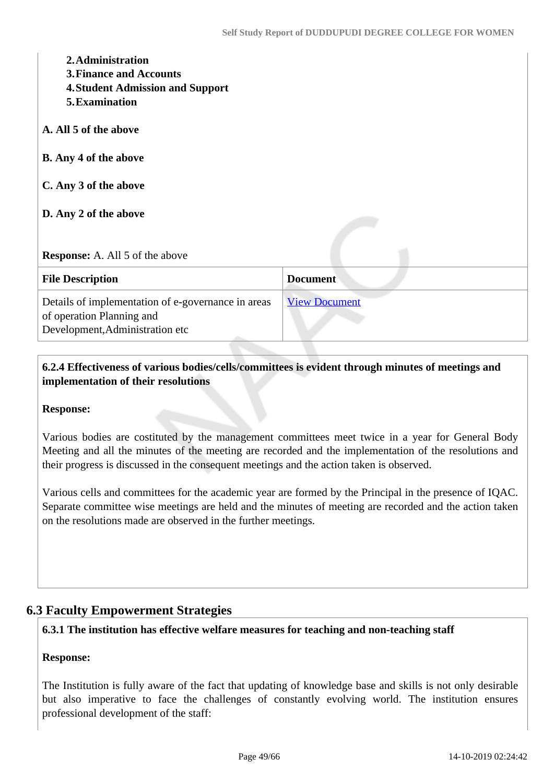| 2. Administration<br><b>3. Finance and Accounts</b><br><b>4. Student Admission and Support</b><br>5. Examination   |                      |
|--------------------------------------------------------------------------------------------------------------------|----------------------|
| A. All 5 of the above                                                                                              |                      |
| <b>B.</b> Any 4 of the above                                                                                       |                      |
| C. Any 3 of the above                                                                                              |                      |
| D. Any 2 of the above                                                                                              |                      |
| <b>Response:</b> A. All 5 of the above                                                                             |                      |
| <b>File Description</b>                                                                                            | <b>Document</b>      |
| Details of implementation of e-governance in areas<br>of operation Planning and<br>Development, Administration etc | <b>View Document</b> |

# **6.2.4 Effectiveness of various bodies/cells/committees is evident through minutes of meetings and implementation of their resolutions**

#### **Response:**

Various bodies are costituted by the management committees meet twice in a year for General Body Meeting and all the minutes of the meeting are recorded and the implementation of the resolutions and their progress is discussed in the consequent meetings and the action taken is observed.

Various cells and committees for the academic year are formed by the Principal in the presence of IQAC. Separate committee wise meetings are held and the minutes of meeting are recorded and the action taken on the resolutions made are observed in the further meetings.

# **6.3 Faculty Empowerment Strategies**

### **6.3.1 The institution has effective welfare measures for teaching and non-teaching staff**

#### **Response:**

The Institution is fully aware of the fact that updating of knowledge base and skills is not only desirable but also imperative to face the challenges of constantly evolving world. The institution ensures professional development of the staff: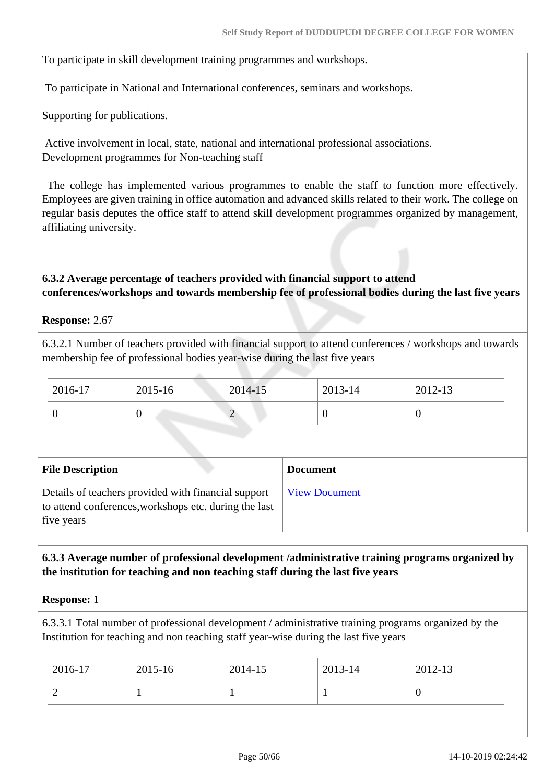To participate in skill development training programmes and workshops.

To participate in National and International conferences, seminars and workshops.

Supporting for publications.

 Active involvement in local, state, national and international professional associations. Development programmes for Non-teaching staff

 The college has implemented various programmes to enable the staff to function more effectively. Employees are given training in office automation and advanced skills related to their work. The college on regular basis deputes the office staff to attend skill development programmes organized by management, affiliating university.

 **6.3.2 Average percentage of teachers provided with financial support to attend conferences/workshops and towards membership fee of professional bodies during the last five years**

**Response:** 2.67

6.3.2.1 Number of teachers provided with financial support to attend conferences / workshops and towards membership fee of professional bodies year-wise during the last five years

| 2016-17 | 2015-16 | 2014-15 | $2013 - 14$ | 2012-13 |
|---------|---------|---------|-------------|---------|
|         |         | ∠       |             |         |

| <b>File Description</b>                                                                                                    | <b>Document</b>      |
|----------------------------------------------------------------------------------------------------------------------------|----------------------|
| Details of teachers provided with financial support<br>to attend conferences, workshops etc. during the last<br>five years | <b>View Document</b> |

## **6.3.3 Average number of professional development /administrative training programs organized by the institution for teaching and non teaching staff during the last five years**

**Response:** 1

6.3.3.1 Total number of professional development / administrative training programs organized by the Institution for teaching and non teaching staff year-wise during the last five years

| υ | 2016-17 | 2015-16 | 2014-15 | 2013-14 | 2012-13 |
|---|---------|---------|---------|---------|---------|
|   |         |         |         |         |         |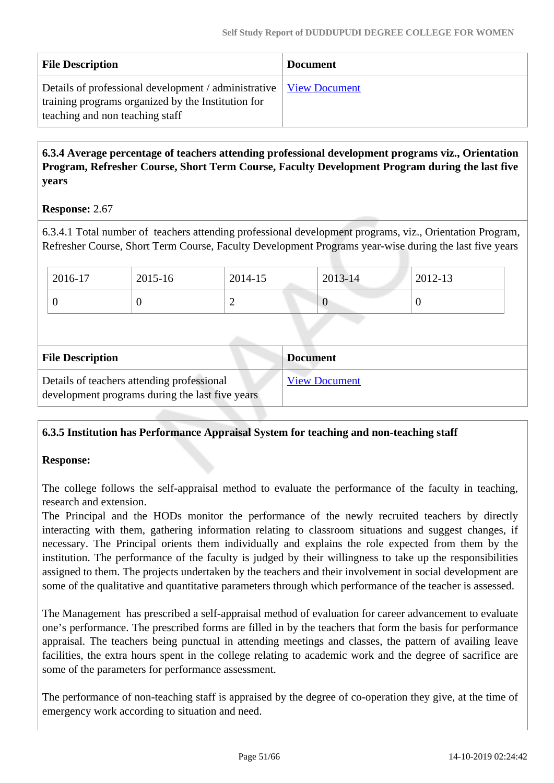| <b>File Description</b>                                                                                                                                       | <b>Document</b> |
|---------------------------------------------------------------------------------------------------------------------------------------------------------------|-----------------|
| Details of professional development / administrative   View Document<br>training programs organized by the Institution for<br>teaching and non teaching staff |                 |

# **6.3.4 Average percentage of teachers attending professional development programs viz., Orientation Program, Refresher Course, Short Term Course, Faculty Development Program during the last five years**

## **Response:** 2.67

6.3.4.1 Total number of teachers attending professional development programs, viz., Orientation Program, Refresher Course, Short Term Course, Faculty Development Programs year-wise during the last five years

| 2016-17 | 2015-16 | 2014-15 | 2013-14 | 2012-13 |
|---------|---------|---------|---------|---------|
|         | ◡       | -       | v       |         |

| <b>File Description</b>                                                                       | <b>Document</b>      |
|-----------------------------------------------------------------------------------------------|----------------------|
| Details of teachers attending professional<br>development programs during the last five years | <b>View Document</b> |

# **6.3.5 Institution has Performance Appraisal System for teaching and non-teaching staff**

#### **Response:**

The college follows the self-appraisal method to evaluate the performance of the faculty in teaching, research and extension.

The Principal and the HODs monitor the performance of the newly recruited teachers by directly interacting with them, gathering information relating to classroom situations and suggest changes, if necessary. The Principal orients them individually and explains the role expected from them by the institution. The performance of the faculty is judged by their willingness to take up the responsibilities assigned to them. The projects undertaken by the teachers and their involvement in social development are some of the qualitative and quantitative parameters through which performance of the teacher is assessed.

The Management has prescribed a self-appraisal method of evaluation for career advancement to evaluate one's performance. The prescribed forms are filled in by the teachers that form the basis for performance appraisal. The teachers being punctual in attending meetings and classes, the pattern of availing leave facilities, the extra hours spent in the college relating to academic work and the degree of sacrifice are some of the parameters for performance assessment.

The performance of non-teaching staff is appraised by the degree of co-operation they give, at the time of emergency work according to situation and need.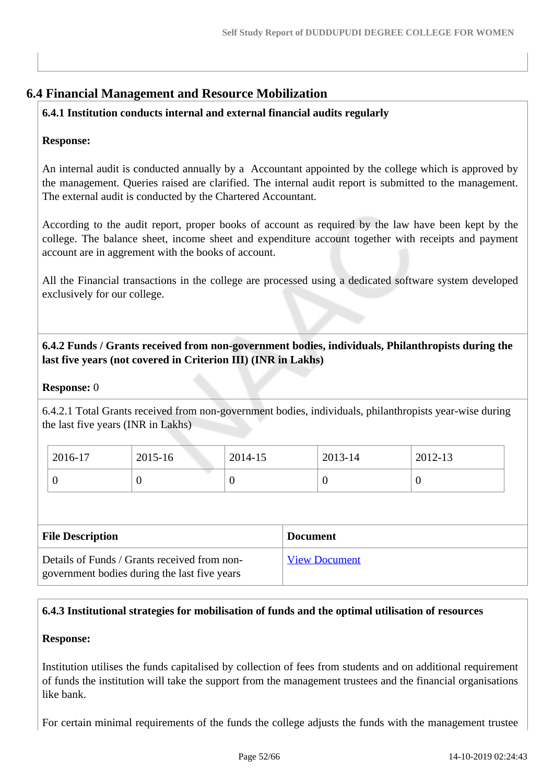# **6.4 Financial Management and Resource Mobilization**

# **6.4.1 Institution conducts internal and external financial audits regularly**

#### **Response:**

An internal audit is conducted annually by a Accountant appointed by the college which is approved by the management. Queries raised are clarified. The internal audit report is submitted to the management. The external audit is conducted by the Chartered Accountant.

According to the audit report, proper books of account as required by the law have been kept by the college. The balance sheet, income sheet and expenditure account together with receipts and payment account are in aggrement with the books of account.

All the Financial transactions in the college are processed using a dedicated software system developed exclusively for our college.

# **6.4.2 Funds / Grants received from non-government bodies, individuals, Philanthropists during the last five years (not covered in Criterion III) (INR in Lakhs)**

#### **Response:** 0

6.4.2.1 Total Grants received from non-government bodies, individuals, philanthropists year-wise during the last five years (INR in Lakhs)

| 2016-17 | 2015-16 | 2014-15 | 2013-14 | 2012-13 |
|---------|---------|---------|---------|---------|
|         | ິ       | ν       |         | ◡       |

| <b>File Description</b>                                                                      | <b>Document</b>      |
|----------------------------------------------------------------------------------------------|----------------------|
| Details of Funds / Grants received from non-<br>government bodies during the last five years | <b>View Document</b> |

# **6.4.3 Institutional strategies for mobilisation of funds and the optimal utilisation of resources**

#### **Response:**

Institution utilises the funds capitalised by collection of fees from students and on additional requirement of funds the institution will take the support from the management trustees and the financial organisations like bank.

For certain minimal requirements of the funds the college adjusts the funds with the management trustee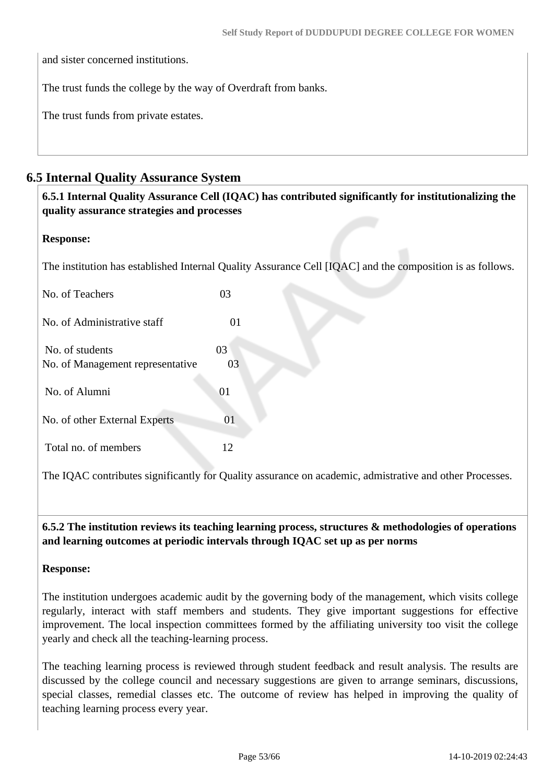and sister concerned institutions.

The trust funds the college by the way of Overdraft from banks.

The trust funds from private estates.

# **6.5 Internal Quality Assurance System**

| quality assurance strategies and processes | 6.5.1 Internal Quality Assurance Cell (IQAC) has contributed significantly for institutionalizing the     |  |
|--------------------------------------------|-----------------------------------------------------------------------------------------------------------|--|
| <b>Response:</b>                           |                                                                                                           |  |
|                                            | The institution has established Internal Quality Assurance Cell [IQAC] and the composition is as follows. |  |
| No. of Teachers                            | 03                                                                                                        |  |
| No. of Administrative staff                | 01                                                                                                        |  |
| No. of students                            | 03                                                                                                        |  |
| No. of Management representative           | 03                                                                                                        |  |
| No. of Alumni                              | 01                                                                                                        |  |
| No. of other External Experts              | 01                                                                                                        |  |
| Total no. of members                       | 12                                                                                                        |  |
|                                            | The IQAC contributes significantly for Quality assurance on academic, admistrative and other Processes.   |  |

 **6.5.2 The institution reviews its teaching learning process, structures & methodologies of operations and learning outcomes at periodic intervals through IQAC set up as per norms**

#### **Response:**

The institution undergoes academic audit by the governing body of the management, which visits college regularly, interact with staff members and students. They give important suggestions for effective improvement. The local inspection committees formed by the affiliating university too visit the college yearly and check all the teaching-learning process.

The teaching learning process is reviewed through student feedback and result analysis. The results are discussed by the college council and necessary suggestions are given to arrange seminars, discussions, special classes, remedial classes etc. The outcome of review has helped in improving the quality of teaching learning process every year.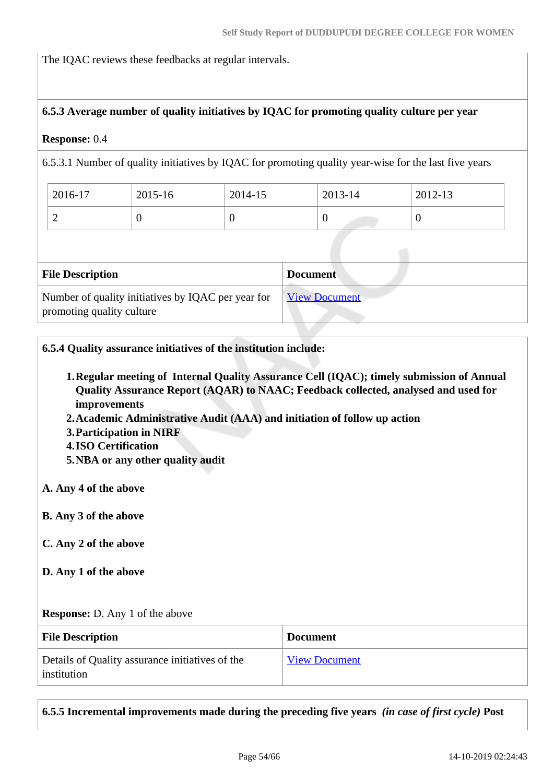The IQAC reviews these feedbacks at regular intervals.

#### **6.5.3 Average number of quality initiatives by IQAC for promoting quality culture per year**

#### **Response:** 0.4

6.5.3.1 Number of quality initiatives by IQAC for promoting quality year-wise for the last five years

| 2016-17 | 2015-16 | 2014-15 | 2013-14 | 2012-13 |
|---------|---------|---------|---------|---------|
| ∼       | ◡       | ິ       |         |         |

| <b>File Description</b>                                                         | <b>Document</b>      |
|---------------------------------------------------------------------------------|----------------------|
| Number of quality initiatives by IQAC per year for<br>promoting quality culture | <b>View Document</b> |

**6.5.4 Quality assurance initiatives of the institution include:**

- **1.Regular meeting of Internal Quality Assurance Cell (IQAC); timely submission of Annual Quality Assurance Report (AQAR) to NAAC; Feedback collected, analysed and used for improvements**
- **2.Academic Administrative Audit (AAA) and initiation of follow up action**
- **3.Participation in NIRF**
- **4.ISO Certification**
- **5.NBA or any other quality audit**

**A. Any 4 of the above**

- **B. Any 3 of the above**
- **C. Any 2 of the above**
- **D. Any 1 of the above**

**Response:** D. Any 1 of the above

| <b>File Description</b>                                        | <b>Document</b>      |
|----------------------------------------------------------------|----------------------|
| Details of Quality assurance initiatives of the<br>institution | <b>View Document</b> |

**6.5.5 Incremental improvements made during the preceding five years** *(in case of first cycle)* **Post**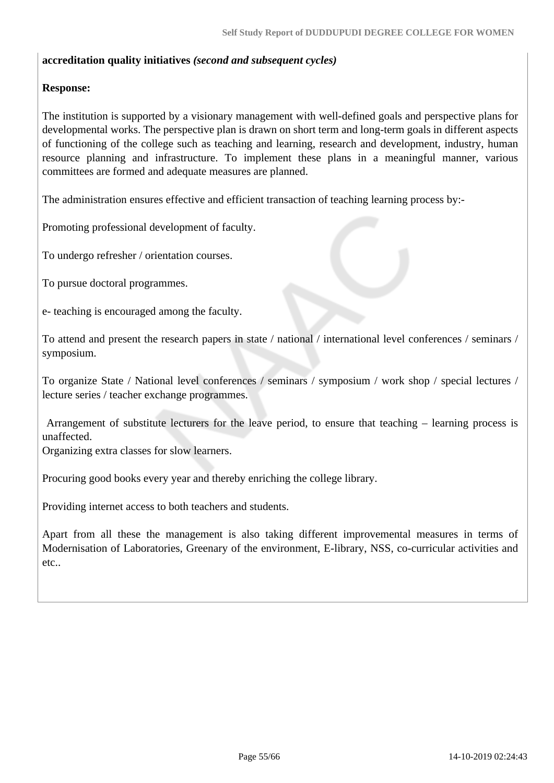#### **accreditation quality initiatives** *(second and subsequent cycles)*

#### **Response:**

The institution is supported by a visionary management with well-defined goals and perspective plans for developmental works. The perspective plan is drawn on short term and long-term goals in different aspects of functioning of the college such as teaching and learning, research and development, industry, human resource planning and infrastructure. To implement these plans in a meaningful manner, various committees are formed and adequate measures are planned.

The administration ensures effective and efficient transaction of teaching learning process by:-

Promoting professional development of faculty.

To undergo refresher / orientation courses.

To pursue doctoral programmes.

e- teaching is encouraged among the faculty.

To attend and present the research papers in state / national / international level conferences / seminars / symposium.

To organize State / National level conferences / seminars / symposium / work shop / special lectures / lecture series / teacher exchange programmes.

 Arrangement of substitute lecturers for the leave period, to ensure that teaching – learning process is unaffected.

Organizing extra classes for slow learners.

Procuring good books every year and thereby enriching the college library.

Providing internet access to both teachers and students.

Apart from all these the management is also taking different improvemental measures in terms of Modernisation of Laboratories, Greenary of the environment, E-library, NSS, co-curricular activities and etc..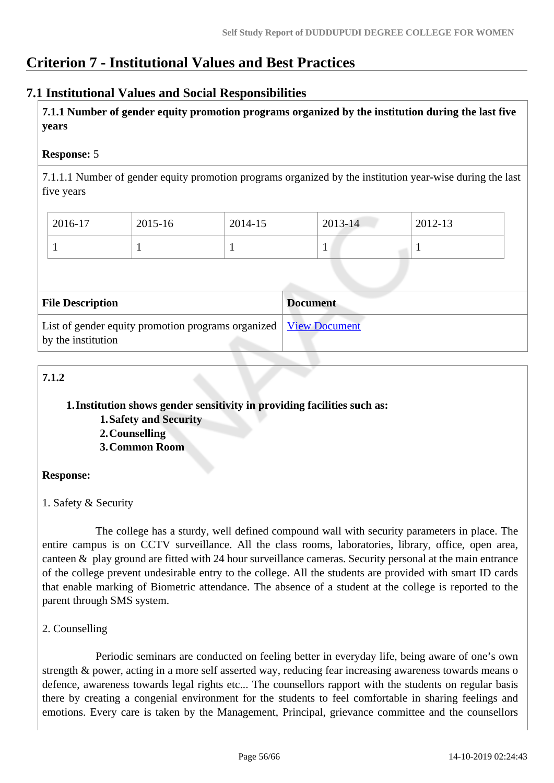# **Criterion 7 - Institutional Values and Best Practices**

# **7.1 Institutional Values and Social Responsibilities**

 **7.1.1 Number of gender equity promotion programs organized by the institution during the last five years** 

# **Response:** 5

7.1.1.1 Number of gender equity promotion programs organized by the institution year-wise during the last five years

| 2016-17 | 2015-16 | 2014-15 | $2013 - 14$ | 2012-13 |
|---------|---------|---------|-------------|---------|
|         |         |         |             |         |

| <b>File Description</b>                                                                  | <b>Document</b> |
|------------------------------------------------------------------------------------------|-----------------|
| List of gender equity promotion programs organized   View Document<br>by the institution |                 |

# **7.1.2**

# **1.Institution shows gender sensitivity in providing facilities such as:**

- **1.Safety and Security**
- **2.Counselling**
- **3.Common Room**

# **Response:**

1. Safety & Security

 The college has a sturdy, well defined compound wall with security parameters in place. The entire campus is on CCTV surveillance. All the class rooms, laboratories, library, office, open area, canteen & play ground are fitted with 24 hour surveillance cameras. Security personal at the main entrance of the college prevent undesirable entry to the college. All the students are provided with smart ID cards that enable marking of Biometric attendance. The absence of a student at the college is reported to the parent through SMS system.

# 2. Counselling

 Periodic seminars are conducted on feeling better in everyday life, being aware of one's own strength & power, acting in a more self asserted way, reducing fear increasing awareness towards means o defence, awareness towards legal rights etc... The counsellors rapport with the students on regular basis there by creating a congenial environment for the students to feel comfortable in sharing feelings and emotions. Every care is taken by the Management, Principal, grievance committee and the counsellors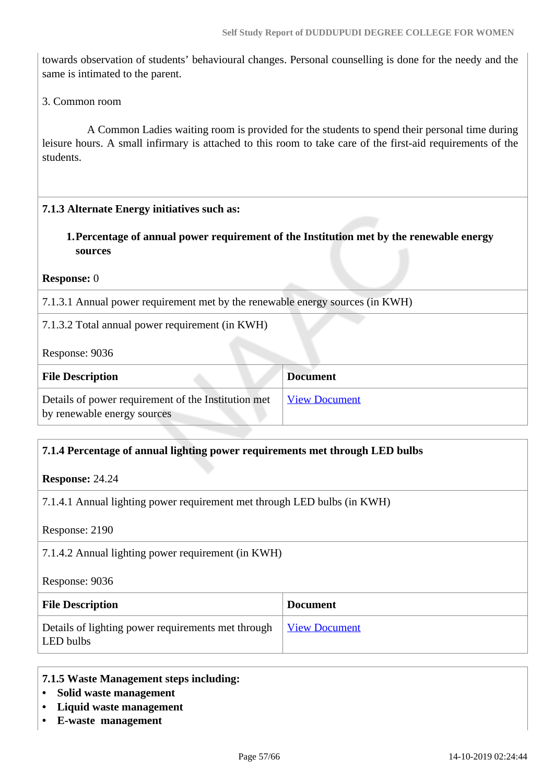towards observation of students' behavioural changes. Personal counselling is done for the needy and the same is intimated to the parent.

3. Common room

 A Common Ladies waiting room is provided for the students to spend their personal time during leisure hours. A small infirmary is attached to this room to take care of the first-aid requirements of the students.

#### **7.1.3 Alternate Energy initiatives such as:**

# **1.Percentage of annual power requirement of the Institution met by the renewable energy sources**

**Response:** 0

7.1.3.1 Annual power requirement met by the renewable energy sources (in KWH)

#### 7.1.3.2 Total annual power requirement (in KWH)

Response: 9036

| <b>File Description</b>                                                            | <b>Document</b>      |
|------------------------------------------------------------------------------------|----------------------|
| Details of power requirement of the Institution met<br>by renewable energy sources | <b>View Document</b> |

#### **7.1.4 Percentage of annual lighting power requirements met through LED bulbs**

**Response:** 24.24

7.1.4.1 Annual lighting power requirement met through LED bulbs (in KWH)

Response: 2190

7.1.4.2 Annual lighting power requirement (in KWH)

Response: 9036

| <b>File Description</b>                                         | <b>Document</b>      |
|-----------------------------------------------------------------|----------------------|
| Details of lighting power requirements met through<br>LED bulbs | <u>View Document</u> |

#### **7.1.5 Waste Management steps including:**

- **Solid waste management**
- **Liquid waste management**
- **E-waste management**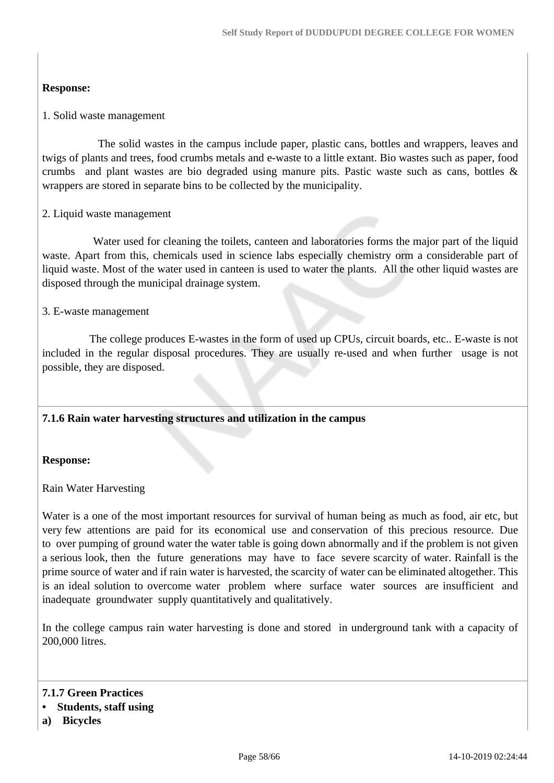#### **Response:**

#### 1. Solid waste management

 The solid wastes in the campus include paper, plastic cans, bottles and wrappers, leaves and twigs of plants and trees, food crumbs metals and e-waste to a little extant. Bio wastes such as paper, food crumbs and plant wastes are bio degraded using manure pits. Pastic waste such as cans, bottles & wrappers are stored in separate bins to be collected by the municipality.

#### 2. Liquid waste management

 Water used for cleaning the toilets, canteen and laboratories forms the major part of the liquid waste. Apart from this, chemicals used in science labs especially chemistry orm a considerable part of liquid waste. Most of the water used in canteen is used to water the plants. All the other liquid wastes are disposed through the municipal drainage system.

#### 3. E-waste management

 The college produces E-wastes in the form of used up CPUs, circuit boards, etc.. E-waste is not included in the regular disposal procedures. They are usually re-used and when further usage is not possible, they are disposed.

#### **7.1.6 Rain water harvesting structures and utilization in the campus**

#### **Response:**

#### Rain Water Harvesting

Water is a one of the most important resources for survival of human being as much as food, air etc, but very few attentions are paid for its economical use and conservation of this precious resource. Due to over pumping of ground water the water table is going down abnormally and if the problem is not given a serious look, then the future generations may have to face severe scarcity of water. Rainfall is the prime source of water and if rain water is harvested, the scarcity of water can be eliminated altogether. This is an ideal solution to overcome water problem where surface water sources are insufficient and inadequate groundwater supply quantitatively and qualitatively.

In the college campus rain water harvesting is done and stored in underground tank with a capacity of 200,000 litres.

**7.1.7 Green Practices**

#### **• Students, staff using**

**a) Bicycles**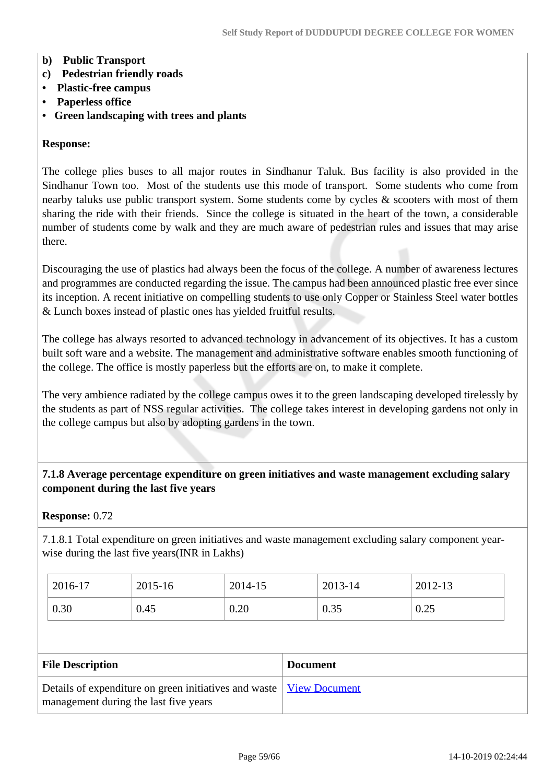#### **b) Public Transport**

- **c) Pedestrian friendly roads**
- **Plastic-free campus**
- **Paperless office**
- **Green landscaping with trees and plants**

#### **Response:**

The college plies buses to all major routes in Sindhanur Taluk. Bus facility is also provided in the Sindhanur Town too. Most of the students use this mode of transport. Some students who come from nearby taluks use public transport system. Some students come by cycles  $\&$  scooters with most of them sharing the ride with their friends. Since the college is situated in the heart of the town, a considerable number of students come by walk and they are much aware of pedestrian rules and issues that may arise there.

Discouraging the use of plastics had always been the focus of the college. A number of awareness lectures and programmes are conducted regarding the issue. The campus had been announced plastic free ever since its inception. A recent initiative on compelling students to use only Copper or Stainless Steel water bottles & Lunch boxes instead of plastic ones has yielded fruitful results.

The college has always resorted to advanced technology in advancement of its objectives. It has a custom built soft ware and a website. The management and administrative software enables smooth functioning of the college. The office is mostly paperless but the efforts are on, to make it complete.

The very ambience radiated by the college campus owes it to the green landscaping developed tirelessly by the students as part of NSS regular activities. The college takes interest in developing gardens not only in the college campus but also by adopting gardens in the town.

#### **7.1.8 Average percentage expenditure on green initiatives and waste management excluding salary component during the last five years**

#### **Response:** 0.72

7.1.8.1 Total expenditure on green initiatives and waste management excluding salary component yearwise during the last five years(INR in Lakhs)

| 2016-17 | 2015-16 | 2014-15 | 2013-14 | 2012-13 |
|---------|---------|---------|---------|---------|
| 0.30    | 0.45    | 0.20    | 0.35    | 0.25    |

| <b>File Description</b>                                                      | <b>Document</b> |
|------------------------------------------------------------------------------|-----------------|
| Details of expenditure on green initiatives and waste   <u>View Document</u> |                 |
| management during the last five years                                        |                 |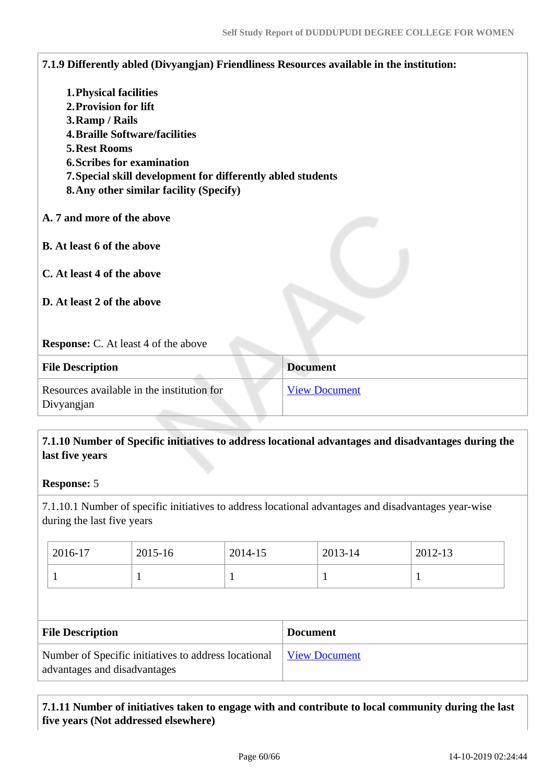| <b>1. Physical facilities</b><br>2. Provision for lift<br>3. Ramp / Rails<br><b>4. Braille Software/facilities</b><br><b>5. Rest Rooms</b><br><b>6. Scribes for examination</b><br>7. Special skill development for differently abled students<br><b>8. Any other similar facility (Specify)</b> |                      |  |
|--------------------------------------------------------------------------------------------------------------------------------------------------------------------------------------------------------------------------------------------------------------------------------------------------|----------------------|--|
| A. 7 and more of the above                                                                                                                                                                                                                                                                       |                      |  |
| <b>B.</b> At least 6 of the above                                                                                                                                                                                                                                                                |                      |  |
| C. At least 4 of the above                                                                                                                                                                                                                                                                       |                      |  |
| D. At least 2 of the above                                                                                                                                                                                                                                                                       |                      |  |
| <b>Response:</b> C. At least 4 of the above                                                                                                                                                                                                                                                      |                      |  |
| <b>File Description</b>                                                                                                                                                                                                                                                                          | <b>Document</b>      |  |
| Resources available in the institution for<br>Divyangjan                                                                                                                                                                                                                                         | <b>View Document</b> |  |

## **7.1.10 Number of Specific initiatives to address locational advantages and disadvantages during the last five years**

### **Response:** 5

7.1.10.1 Number of specific initiatives to address locational advantages and disadvantages year-wise during the last five years

| 2016-17 | 2015-16 | 2014-15 | 2013-14 | 2012-13                  |
|---------|---------|---------|---------|--------------------------|
|         |         |         |         | $\overline{\phantom{a}}$ |

| <b>File Description</b>                                                              | <b>Document</b>      |
|--------------------------------------------------------------------------------------|----------------------|
| Number of Specific initiatives to address locational<br>advantages and disadvantages | <b>View Document</b> |

 **7.1.11 Number of initiatives taken to engage with and contribute to local community during the last five years (Not addressed elsewhere)**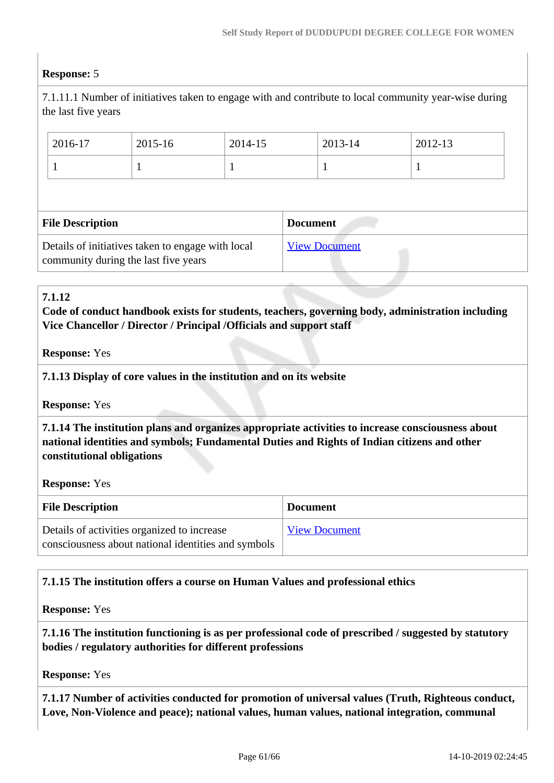#### **Response:** 5

7.1.11.1 Number of initiatives taken to engage with and contribute to local community year-wise during the last five years

| 2016-17                 | 2015-16 | 2014-15 |                 | 2013-14 | 2012-13 |
|-------------------------|---------|---------|-----------------|---------|---------|
|                         |         |         |                 |         |         |
|                         |         |         |                 |         |         |
|                         |         |         |                 |         |         |
| <b>File Description</b> |         |         | <b>Document</b> |         |         |

#### **7.1.12**

**Code of conduct handbook exists for students, teachers, governing body, administration including Vice Chancellor / Director / Principal /Officials and support staff**

#### **Response:** Yes

#### **7.1.13 Display of core values in the institution and on its website**

**Response:** Yes

 **7.1.14 The institution plans and organizes appropriate activities to increase consciousness about national identities and symbols; Fundamental Duties and Rights of Indian citizens and other constitutional obligations**

**Response:** Yes

| <b>File Description</b>                                                                            | <b>Document</b>      |
|----------------------------------------------------------------------------------------------------|----------------------|
| Details of activities organized to increase<br>consciousness about national identities and symbols | <b>View Document</b> |

#### **7.1.15 The institution offers a course on Human Values and professional ethics**

**Response:** Yes

 **7.1.16 The institution functioning is as per professional code of prescribed / suggested by statutory bodies / regulatory authorities for different professions**

**Response:** Yes

 **7.1.17 Number of activities conducted for promotion of universal values (Truth, Righteous conduct, Love, Non-Violence and peace); national values, human values, national integration, communal**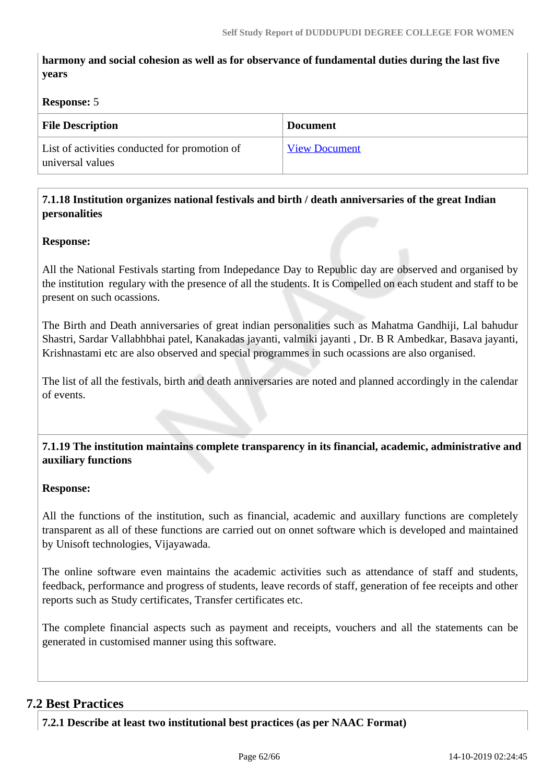**harmony and social cohesion as well as for observance of fundamental duties during the last five years**

#### **Response:** 5

| <b>File Description</b>                                           | <b>Document</b>      |
|-------------------------------------------------------------------|----------------------|
| List of activities conducted for promotion of<br>universal values | <b>View Document</b> |

## **7.1.18 Institution organizes national festivals and birth / death anniversaries of the great Indian personalities**

#### **Response:**

All the National Festivals starting from Indepedance Day to Republic day are observed and organised by the institution regulary with the presence of all the students. It is Compelled on each student and staff to be present on such ocassions.

The Birth and Death anniversaries of great indian personalities such as Mahatma Gandhiji, Lal bahudur Shastri, Sardar Vallabhbhai patel, Kanakadas jayanti, valmiki jayanti , Dr. B R Ambedkar, Basava jayanti, Krishnastami etc are also observed and special programmes in such ocassions are also organised.

The list of all the festivals, birth and death anniversaries are noted and planned accordingly in the calendar of events.

 **7.1.19 The institution maintains complete transparency in its financial, academic, administrative and auxiliary functions**

#### **Response:**

All the functions of the institution, such as financial, academic and auxillary functions are completely transparent as all of these functions are carried out on onnet software which is developed and maintained by Unisoft technologies, Vijayawada.

The online software even maintains the academic activities such as attendance of staff and students, feedback, performance and progress of students, leave records of staff, generation of fee receipts and other reports such as Study certificates, Transfer certificates etc.

The complete financial aspects such as payment and receipts, vouchers and all the statements can be generated in customised manner using this software.

# **7.2 Best Practices**

**7.2.1 Describe at least two institutional best practices (as per NAAC Format)**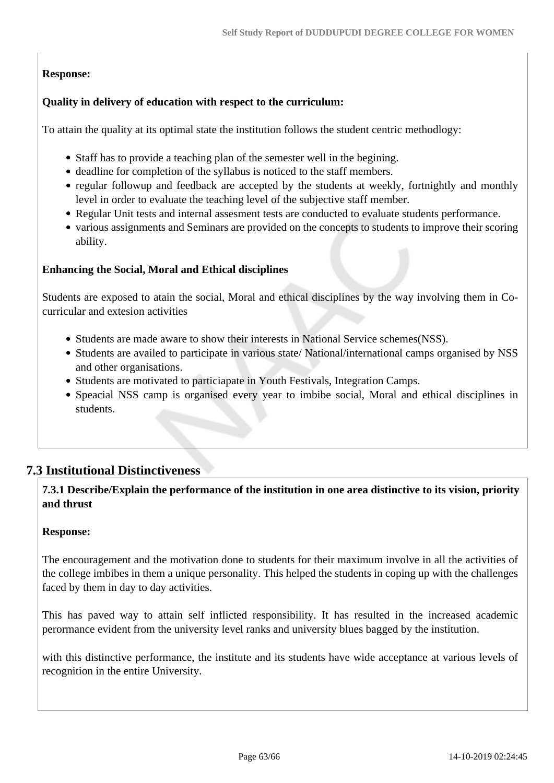# **Response:**

## **Quality in delivery of education with respect to the curriculum:**

To attain the quality at its optimal state the institution follows the student centric methodlogy:

- Staff has to provide a teaching plan of the semester well in the begining.
- deadline for completion of the syllabus is noticed to the staff members.
- regular followup and feedback are accepted by the students at weekly, fortnightly and monthly level in order to evaluate the teaching level of the subjective staff member.
- Regular Unit tests and internal assesment tests are conducted to evaluate students performance.
- various assignments and Seminars are provided on the concepts to students to improve their scoring ability.

#### **Enhancing the Social, Moral and Ethical disciplines**

Students are exposed to atain the social, Moral and ethical disciplines by the way involving them in Cocurricular and extesion activities

- Students are made aware to show their interests in National Service schemes(NSS).
- Students are availed to participate in various state/ National/international camps organised by NSS and other organisations.
- Students are motivated to particiapate in Youth Festivals, Integration Camps.
- Speacial NSS camp is organised every year to imbibe social, Moral and ethical disciplines in students.

# **7.3 Institutional Distinctiveness**

 **7.3.1 Describe/Explain the performance of the institution in one area distinctive to its vision, priority and thrust**

#### **Response:**

The encouragement and the motivation done to students for their maximum involve in all the activities of the college imbibes in them a unique personality. This helped the students in coping up with the challenges faced by them in day to day activities.

This has paved way to attain self inflicted responsibility. It has resulted in the increased academic perormance evident from the university level ranks and university blues bagged by the institution.

with this distinctive performance, the institute and its students have wide acceptance at various levels of recognition in the entire University.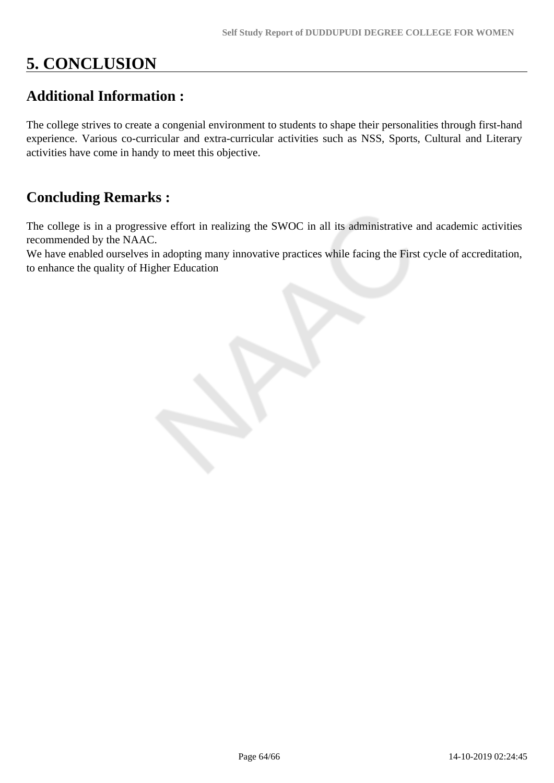# **5. CONCLUSION**

# **Additional Information :**

The college strives to create a congenial environment to students to shape their personalities through first-hand experience. Various co-curricular and extra-curricular activities such as NSS, Sports, Cultural and Literary activities have come in handy to meet this objective.

# **Concluding Remarks :**

The college is in a progressive effort in realizing the SWOC in all its administrative and academic activities recommended by the NAAC.

We have enabled ourselves in adopting many innovative practices while facing the First cycle of accreditation, to enhance the quality of Higher Education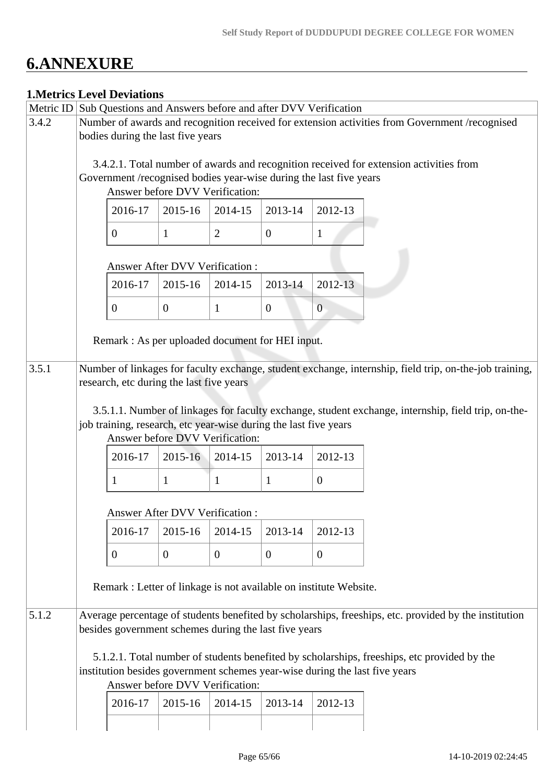# **6.ANNEXURE**

# **1.Metrics Level Deviations**

|       |                                                                                                       | THRUITES LEVEL DEVIATIONS                                                              |                                          |                                                                  |                |                                                                   |                                                                                                         |  |
|-------|-------------------------------------------------------------------------------------------------------|----------------------------------------------------------------------------------------|------------------------------------------|------------------------------------------------------------------|----------------|-------------------------------------------------------------------|---------------------------------------------------------------------------------------------------------|--|
|       | Metric ID Sub Questions and Answers before and after DVV Verification                                 |                                                                                        |                                          |                                                                  |                |                                                                   |                                                                                                         |  |
| 3.4.2 | Number of awards and recognition received for extension activities from Government /recognised        |                                                                                        |                                          |                                                                  |                |                                                                   |                                                                                                         |  |
|       | bodies during the last five years                                                                     |                                                                                        |                                          |                                                                  |                |                                                                   |                                                                                                         |  |
|       |                                                                                                       |                                                                                        |                                          |                                                                  |                |                                                                   |                                                                                                         |  |
|       |                                                                                                       | 3.4.2.1. Total number of awards and recognition received for extension activities from |                                          |                                                                  |                |                                                                   |                                                                                                         |  |
|       | Government /recognised bodies year-wise during the last five years<br>Answer before DVV Verification: |                                                                                        |                                          |                                                                  |                |                                                                   |                                                                                                         |  |
|       |                                                                                                       |                                                                                        |                                          |                                                                  |                |                                                                   |                                                                                                         |  |
|       |                                                                                                       |                                                                                        |                                          |                                                                  |                |                                                                   |                                                                                                         |  |
|       |                                                                                                       | 2016-17                                                                                | 2015-16                                  | 2014-15                                                          | 2013-14        | 2012-13                                                           |                                                                                                         |  |
|       |                                                                                                       |                                                                                        |                                          |                                                                  |                |                                                                   |                                                                                                         |  |
|       |                                                                                                       | $\mathbf{0}$                                                                           | $\mathbf{1}$                             | $\overline{2}$                                                   | $\overline{0}$ | $\mathbf{1}$                                                      |                                                                                                         |  |
|       |                                                                                                       |                                                                                        |                                          |                                                                  |                |                                                                   |                                                                                                         |  |
|       |                                                                                                       |                                                                                        | <b>Answer After DVV Verification:</b>    |                                                                  |                |                                                                   |                                                                                                         |  |
|       |                                                                                                       | 2016-17                                                                                | 2015-16                                  | 2014-15                                                          | 2013-14        | 2012-13                                                           |                                                                                                         |  |
|       |                                                                                                       |                                                                                        |                                          |                                                                  |                |                                                                   |                                                                                                         |  |
|       |                                                                                                       | $\boldsymbol{0}$                                                                       | $\overline{0}$                           | $\mathbf{1}$                                                     | $\mathbf{0}$   | $\boldsymbol{0}$                                                  |                                                                                                         |  |
|       |                                                                                                       |                                                                                        |                                          |                                                                  |                |                                                                   |                                                                                                         |  |
|       |                                                                                                       |                                                                                        |                                          |                                                                  |                |                                                                   |                                                                                                         |  |
|       |                                                                                                       |                                                                                        |                                          | Remark : As per uploaded document for HEI input.                 |                |                                                                   |                                                                                                         |  |
|       |                                                                                                       |                                                                                        |                                          |                                                                  |                |                                                                   |                                                                                                         |  |
| 3.5.1 |                                                                                                       |                                                                                        |                                          |                                                                  |                |                                                                   | Number of linkages for faculty exchange, student exchange, internship, field trip, on-the-job training, |  |
|       |                                                                                                       |                                                                                        | research, etc during the last five years |                                                                  |                |                                                                   |                                                                                                         |  |
|       |                                                                                                       |                                                                                        |                                          |                                                                  |                |                                                                   |                                                                                                         |  |
|       |                                                                                                       |                                                                                        |                                          |                                                                  |                |                                                                   | 3.5.1.1. Number of linkages for faculty exchange, student exchange, internship, field trip, on-the-     |  |
|       |                                                                                                       |                                                                                        |                                          | job training, research, etc year-wise during the last five years |                |                                                                   |                                                                                                         |  |
|       |                                                                                                       |                                                                                        |                                          | Answer before DVV Verification:                                  |                |                                                                   |                                                                                                         |  |
|       |                                                                                                       | 2016-17                                                                                | 2015-16                                  | 2014-15                                                          | 2013-14        | 2012-13                                                           |                                                                                                         |  |
|       |                                                                                                       |                                                                                        |                                          |                                                                  |                |                                                                   |                                                                                                         |  |
|       |                                                                                                       | 1                                                                                      | $\mathbf{1}$                             | $\mathbf{1}$                                                     | $\mathbf{1}$   | $\overline{0}$                                                    |                                                                                                         |  |
|       |                                                                                                       |                                                                                        |                                          |                                                                  |                |                                                                   |                                                                                                         |  |
|       | Answer After DVV Verification :                                                                       |                                                                                        |                                          |                                                                  |                |                                                                   |                                                                                                         |  |
|       |                                                                                                       |                                                                                        |                                          |                                                                  |                |                                                                   |                                                                                                         |  |
|       |                                                                                                       | 2016-17                                                                                | 2015-16                                  | 2014-15                                                          | 2013-14        | 2012-13                                                           |                                                                                                         |  |
|       |                                                                                                       | 0                                                                                      | $\overline{0}$                           | $\overline{0}$                                                   | $\theta$       | $\theta$                                                          |                                                                                                         |  |
|       |                                                                                                       |                                                                                        |                                          |                                                                  |                |                                                                   |                                                                                                         |  |
|       |                                                                                                       |                                                                                        |                                          |                                                                  |                |                                                                   |                                                                                                         |  |
|       |                                                                                                       |                                                                                        |                                          |                                                                  |                | Remark : Letter of linkage is not available on institute Website. |                                                                                                         |  |
|       |                                                                                                       |                                                                                        |                                          |                                                                  |                |                                                                   |                                                                                                         |  |
| 5.1.2 | Average percentage of students benefited by scholarships, freeships, etc. provided by the institution |                                                                                        |                                          |                                                                  |                |                                                                   |                                                                                                         |  |
|       | besides government schemes during the last five years                                                 |                                                                                        |                                          |                                                                  |                |                                                                   |                                                                                                         |  |
|       |                                                                                                       |                                                                                        |                                          |                                                                  |                |                                                                   |                                                                                                         |  |
|       | 5.1.2.1. Total number of students benefited by scholarships, freeships, etc provided by the           |                                                                                        |                                          |                                                                  |                |                                                                   |                                                                                                         |  |
|       |                                                                                                       | institution besides government schemes year-wise during the last five years            |                                          |                                                                  |                |                                                                   |                                                                                                         |  |
|       |                                                                                                       |                                                                                        | Answer before DVV Verification:          |                                                                  |                |                                                                   |                                                                                                         |  |
|       |                                                                                                       |                                                                                        |                                          |                                                                  |                |                                                                   |                                                                                                         |  |
|       |                                                                                                       | 2016-17                                                                                | 2015-16                                  | 2014-15                                                          | 2013-14        | 2012-13                                                           |                                                                                                         |  |
|       |                                                                                                       |                                                                                        |                                          |                                                                  |                |                                                                   |                                                                                                         |  |
|       |                                                                                                       |                                                                                        |                                          |                                                                  |                |                                                                   |                                                                                                         |  |